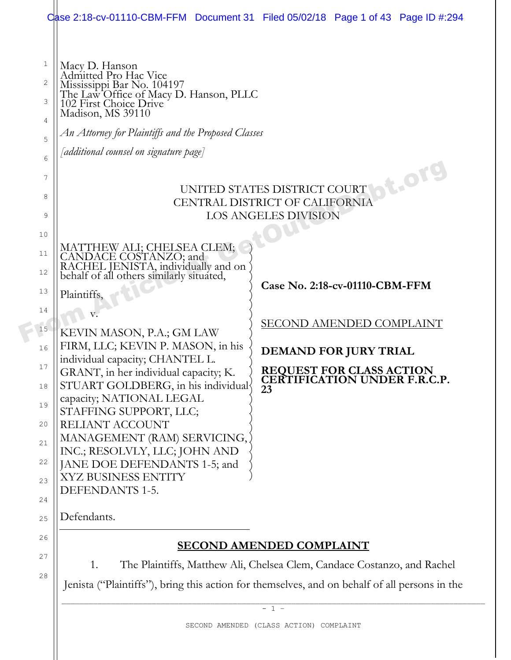| 8<br>CENTRAL DISTRICT OF CALIFORNIA<br><b>LOS ANGELES DIVISION</b><br>9<br>10<br>MATTHEW ALI; CHELSEA CLEM;<br>CANDACE COSTANZO; and<br>RACHEL JENISTA, individually and on<br>behalf of all others similarly situated,<br>11<br>12<br>Case No. 2:18-cv-01110-CBM-FFM<br>13<br>Plaintiffs,<br>14<br>SECOND AMENDED COMPLAINT<br>15<br>KEVIN MASON, P.A.; GM LAW<br>FIRM, LLC; KEVIN P. MASON, in his<br>16<br><b>DEMAND FOR JURY TRIAL</b><br>individual capacity; CHANTEL L.<br>17<br><b>REQUEST FOR CLASS ACTION</b><br>GRANT, in her individual capacity; K.<br>CERTIFICATION UNDER F.R.C.P.<br>STUART GOLDBERG, in his individual<br>18<br>23<br>capacity; NATIONAL LEGAL<br>19<br>STAFFING SUPPORT, LLC;<br>RELIANT ACCOUNT<br>20<br>MANAGEMENT (RAM) SERVICING,<br>21<br>INC.; RESOLVLY, LLC; JOHN AND<br>22<br>JANE DOE DEFENDANTS 1-5; and<br>XYZ BUSINESS ENTITY<br>23<br>DEFENDANTS 1-5.<br>24<br>Defendants.<br>25<br>26<br><b>SECOND AMENDED COMPLAINT</b><br>27<br>The Plaintiffs, Matthew Ali, Chelsea Clem, Candace Costanzo, and Rachel<br>1.<br>28<br>Jenista ("Plaintiffs"), bring this action for themselves, and on behalf of all persons in the | $\mathbf{1}$<br>Macy D. Hanson<br>Admitted Pro Hac Vice<br>$\sqrt{2}$<br>Mississippi Bar No. 104197<br>The Law Office of Macy D. Hanson, PLLC<br>102 First Choice Drive<br>3<br>Madison, MS 39110<br>$\overline{4}$<br>An Attorney for Plaintiffs and the Proposed Classes<br>5<br>[additional counsel on signature page]<br>6<br>7 | Case 2:18-cv-01110-CBM-FFM Document 31 Filed 05/02/18 Page 1 of 43 Page ID #:294<br><b>St.Org</b><br>UNITED STATES DISTRICT COURT |  |  |  |  |  |  |  |
|----------------------------------------------------------------------------------------------------------------------------------------------------------------------------------------------------------------------------------------------------------------------------------------------------------------------------------------------------------------------------------------------------------------------------------------------------------------------------------------------------------------------------------------------------------------------------------------------------------------------------------------------------------------------------------------------------------------------------------------------------------------------------------------------------------------------------------------------------------------------------------------------------------------------------------------------------------------------------------------------------------------------------------------------------------------------------------------------------------------------------------------------------------------------|-------------------------------------------------------------------------------------------------------------------------------------------------------------------------------------------------------------------------------------------------------------------------------------------------------------------------------------|-----------------------------------------------------------------------------------------------------------------------------------|--|--|--|--|--|--|--|
|                                                                                                                                                                                                                                                                                                                                                                                                                                                                                                                                                                                                                                                                                                                                                                                                                                                                                                                                                                                                                                                                                                                                                                      |                                                                                                                                                                                                                                                                                                                                     |                                                                                                                                   |  |  |  |  |  |  |  |
|                                                                                                                                                                                                                                                                                                                                                                                                                                                                                                                                                                                                                                                                                                                                                                                                                                                                                                                                                                                                                                                                                                                                                                      |                                                                                                                                                                                                                                                                                                                                     |                                                                                                                                   |  |  |  |  |  |  |  |
|                                                                                                                                                                                                                                                                                                                                                                                                                                                                                                                                                                                                                                                                                                                                                                                                                                                                                                                                                                                                                                                                                                                                                                      |                                                                                                                                                                                                                                                                                                                                     |                                                                                                                                   |  |  |  |  |  |  |  |
|                                                                                                                                                                                                                                                                                                                                                                                                                                                                                                                                                                                                                                                                                                                                                                                                                                                                                                                                                                                                                                                                                                                                                                      |                                                                                                                                                                                                                                                                                                                                     |                                                                                                                                   |  |  |  |  |  |  |  |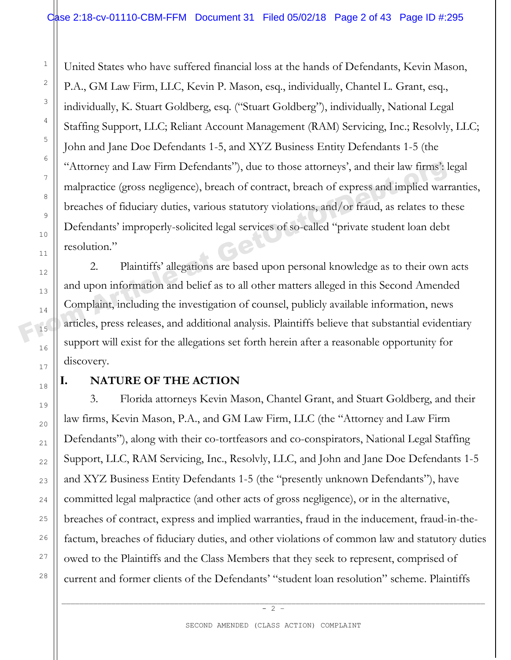United States who have suffered financial loss at the hands of Defendants, Kevin Mason, P.A., GM Law Firm, LLC, Kevin P. Mason, esq., individually, Chantel L. Grant, esq., individually, K. Stuart Goldberg, esq. ("Stuart Goldberg"), individually, National Legal Staffing Support, LLC; Reliant Account Management (RAM) Servicing, Inc.; Resolvly, LLC; John and Jane Doe Defendants 1-5, and XYZ Business Entity Defendants 1-5 (the "Attorney and Law Firm Defendants"), due to those attorneys', and their law firms': legal malpractice (gross negligence), breach of contract, breach of express and implied warranties, breaches of fiduciary duties, various statutory violations, and/or fraud, as relates to these Defendants' improperly-solicited legal services of so-called "private student loan debt resolution." "Attorney and Law Firm Defendants"), due to those attorneys', and their law firms":  $\frac{1}{2}$ <br>  $\frac{1}{2}$ <br>  $\frac{1}{2}$ <br>  $\frac{1}{2}$ <br>  $\frac{1}{2}$ <br>  $\frac{1}{2}$ <br>  $\frac{1}{2}$ <br>  $\frac{1}{2}$ <br>  $\frac{1}{2}$ <br>  $\frac{1}{2}$ <br>  $\frac{1}{2}$ <br>  $\frac{1}{2}$ <br>  $\frac{1$ 

2. Plaintiffs' allegations are based upon personal knowledge as to their own acts and upon information and belief as to all other matters alleged in this Second Amended Complaint, including the investigation of counsel, publicly available information, news articles, press releases, and additional analysis. Plaintiffs believe that substantial evidentiary support will exist for the allegations set forth herein after a reasonable opportunity for discovery.

# 17 18

19

20

21

22

 $23$ 

24

25

26

27

28

1

2

3

4

5

6

7

8

9

10

11

12

13

14

15

16

# **I. NATURE OF THE ACTION**

3. Florida attorneys Kevin Mason, Chantel Grant, and Stuart Goldberg, and their law firms, Kevin Mason, P.A., and GM Law Firm, LLC (the "Attorney and Law Firm Defendants"), along with their co-tortfeasors and co-conspirators, National Legal Staffing Support, LLC, RAM Servicing, Inc., Resolvly, LLC, and John and Jane Doe Defendants 1-5 and XYZ Business Entity Defendants 1-5 (the "presently unknown Defendants"), have committed legal malpractice (and other acts of gross negligence), or in the alternative, breaches of contract, express and implied warranties, fraud in the inducement, fraud-in-thefactum, breaches of fiduciary duties, and other violations of common law and statutory duties owed to the Plaintiffs and the Class Members that they seek to represent, comprised of current and former clients of the Defendants' "student loan resolution" scheme. Plaintiffs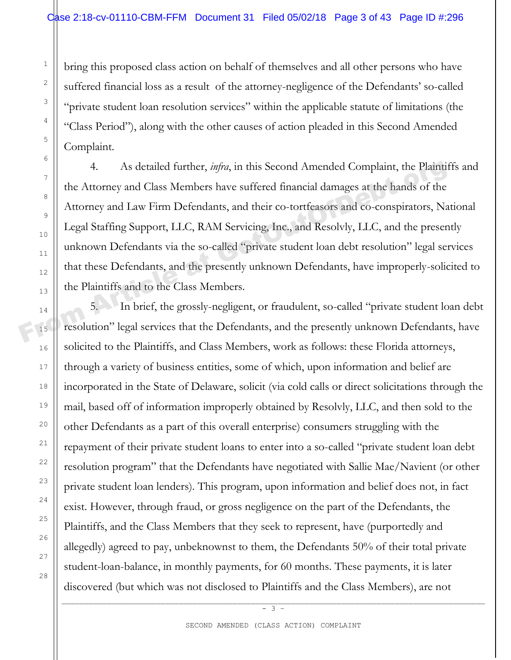bring this proposed class action on behalf of themselves and all other persons who have suffered financial loss as a result of the attorney-negligence of the Defendants' so-called "private student loan resolution services" within the applicable statute of limitations (the "Class Period"), along with the other causes of action pleaded in this Second Amended Complaint.

4. As detailed further, *infra*, in this Second Amended Complaint, the Plaintiffs and the Attorney and Class Members have suffered financial damages at the hands of the Attorney and Law Firm Defendants, and their co-tortfeasors and co-conspirators, National Legal Staffing Support, LLC, RAM Servicing, Inc., and Resolvly, LLC, and the presently unknown Defendants via the so-called "private student loan debt resolution" legal services that these Defendants, and the presently unknown Defendants, have improperly-solicited to the Plaintiffs and to the Class Members. <sup>7</sup><br>
<sup>7</sup><br>
<sup>8</sup><br> **Example 1** Attorney and Class Members have suffered financial damages at the hands of the<br>
Attorney and Law Firm Defendants, and their co-tortfeasors and co-conspirators, Na<br>
Legal Staffing Support, LLC, R

5. In brief, the grossly-negligent, or fraudulent, so-called "private student loan debt resolution" legal services that the Defendants, and the presently unknown Defendants, have solicited to the Plaintiffs, and Class Members, work as follows: these Florida attorneys, through a variety of business entities, some of which, upon information and belief are incorporated in the State of Delaware, solicit (via cold calls or direct solicitations through the mail, based off of information improperly obtained by Resolvly, LLC, and then sold to the other Defendants as a part of this overall enterprise) consumers struggling with the repayment of their private student loans to enter into a so-called "private student loan debt resolution program" that the Defendants have negotiated with Sallie Mae/Navient (or other private student loan lenders). This program, upon information and belief does not, in fact exist. However, through fraud, or gross negligence on the part of the Defendants, the Plaintiffs, and the Class Members that they seek to represent, have (purportedly and allegedly) agreed to pay, unbeknownst to them, the Defendants 50% of their total private student-loan-balance, in monthly payments, for 60 months. These payments, it is later discovered (but which was not disclosed to Plaintiffs and the Class Members), are not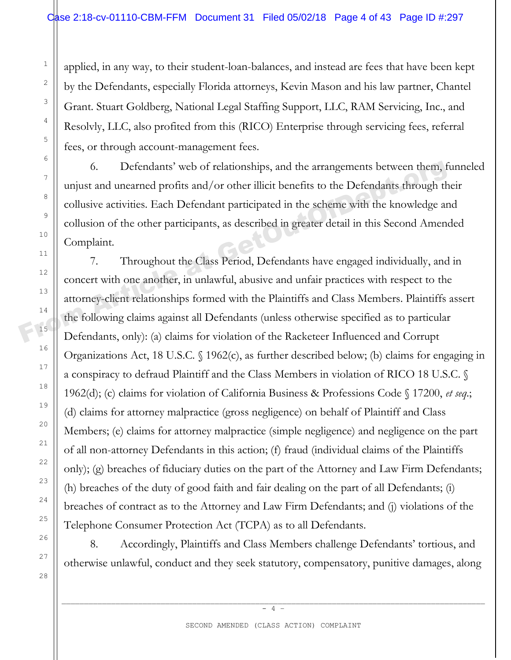applied, in any way, to their student-loan-balances, and instead are fees that have been kept by the Defendants, especially Florida attorneys, Kevin Mason and his law partner, Chantel Grant. Stuart Goldberg, National Legal Staffing Support, LLC, RAM Servicing, Inc., and Resolvly, LLC, also profited from this (RICO) Enterprise through servicing fees, referral fees, or through account-management fees.

6. Defendants' web of relationships, and the arrangements between them, funneled unjust and unearned profits and/or other illicit benefits to the Defendants through their collusive activities. Each Defendant participated in the scheme with the knowledge and collusion of the other participants, as described in greater detail in this Second Amended Complaint.

7. Throughout the Class Period, Defendants have engaged individually, and in concert with one another, in unlawful, abusive and unfair practices with respect to the attorney-client relationships formed with the Plaintiffs and Class Members. Plaintiffs assert the following claims against all Defendants (unless otherwise specified as to particular Defendants, only): (a) claims for violation of the Racketeer Influenced and Corrupt Organizations Act, 18 U.S.C. § 1962(c), as further described below; (b) claims for engaging in a conspiracy to defraud Plaintiff and the Class Members in violation of RICO 18 U.S.C. § 1962(d); (c) claims for violation of California Business & Professions Code § 17200, *et seq*.; (d) claims for attorney malpractice (gross negligence) on behalf of Plaintiff and Class Members; (e) claims for attorney malpractice (simple negligence) and negligence on the part of all non-attorney Defendants in this action; (f) fraud (individual claims of the Plaintiffs only); (g) breaches of fiduciary duties on the part of the Attorney and Law Firm Defendants; (h) breaches of the duty of good faith and fair dealing on the part of all Defendants; (i) breaches of contract as to the Attorney and Law Firm Defendants; and (j) violations of the Telephone Consumer Protection Act (TCPA) as to all Defendants. <sup>7</sup><br>
4 Unjust and unearned profits and/or other illicit benefits to the Defendants through the collusive activities. Each Defendant participated in the scheme with the knowledge are collusion of the other participants, as

8. Accordingly, Plaintiffs and Class Members challenge Defendants' tortious, and otherwise unlawful, conduct and they seek statutory, compensatory, punitive damages, along

\_\_\_\_\_\_\_\_\_\_\_\_\_\_\_\_\_\_\_\_\_\_\_\_\_\_\_\_\_\_\_\_\_\_\_\_\_\_\_\_\_\_\_\_\_\_\_\_\_\_\_\_\_\_\_\_\_\_\_\_\_\_\_\_\_\_\_\_\_\_\_\_\_\_\_\_\_\_\_\_\_\_\_\_\_\_\_\_\_\_\_\_\_\_  $-4$  –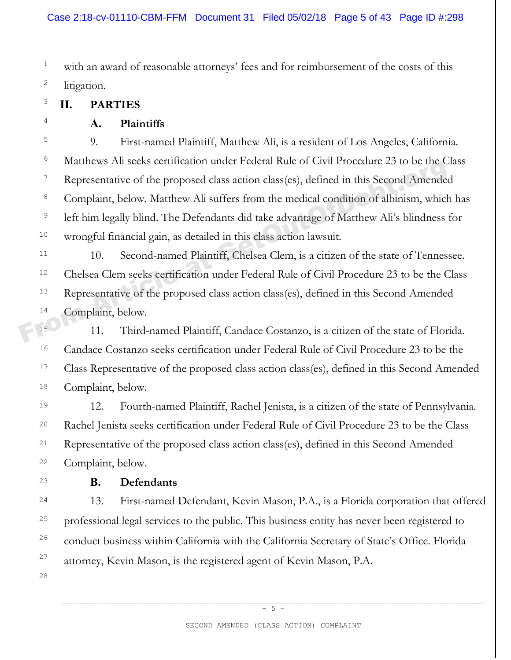with an award of reasonable attorneys' fees and for reimbursement of the costs of this litigation.

# **II. PARTIES**

# **A. Plaintiffs**

9. First-named Plaintiff, Matthew Ali, is a resident of Los Angeles, California. Matthews Ali seeks certification under Federal Rule of Civil Procedure 23 to be the Class Representative of the proposed class action class(es), defined in this Second Amended Complaint, below. Matthew Ali suffers from the medical condition of albinism, which has left him legally blind. The Defendants did take advantage of Matthew Ali's blindness for wrongful financial gain, as detailed in this class action lawsuit. From Hauthews Allisters certification under Pederal Rule of Civil Procedule 2.5 to be the Complaint, below. Matthew Allis suffers from the medical condition of albinism, which<br>
<sup>9</sup><br>
10 **Complaint**, below. Matthew Alli suff

10. Second-named Plaintiff, Chelsea Clem, is a citizen of the state of Tennessee. Chelsea Clem seeks certification under Federal Rule of Civil Procedure 23 to be the Class Representative of the proposed class action class(es), defined in this Second Amended Complaint, below.

11. Third-named Plaintiff, Candace Costanzo, is a citizen of the state of Florida. Candace Costanzo seeks certification under Federal Rule of Civil Procedure 23 to be the Class Representative of the proposed class action class(es), defined in this Second Amended Complaint, below.

12. Fourth-named Plaintiff, Rachel Jenista, is a citizen of the state of Pennsylvania. Rachel Jenista seeks certification under Federal Rule of Civil Procedure 23 to be the Class Representative of the proposed class action class(es), defined in this Second Amended Complaint, below.

### **B. Defendants**

13. First-named Defendant, Kevin Mason, P.A., is a Florida corporation that offered professional legal services to the public. This business entity has never been registered to conduct business within California with the California Secretary of State's Office. Florida attorney, Kevin Mason, is the registered agent of Kevin Mason, P.A.

1

2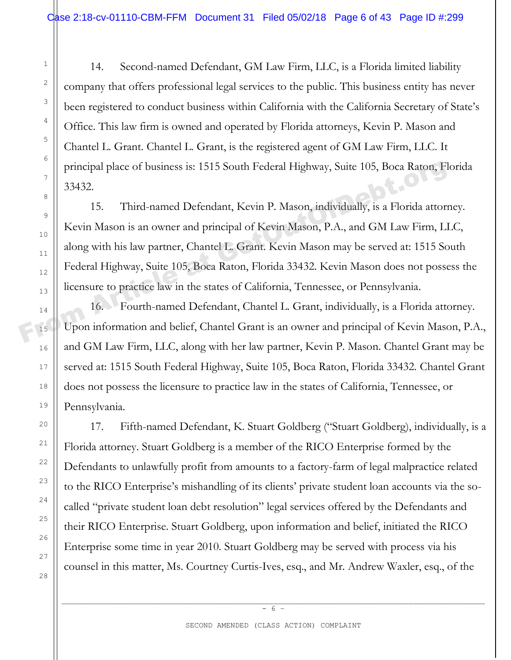14. Second-named Defendant, GM Law Firm, LLC, is a Florida limited liability company that offers professional legal services to the public. This business entity has never been registered to conduct business within California with the California Secretary of State's Office. This law firm is owned and operated by Florida attorneys, Kevin P. Mason and Chantel L. Grant. Chantel L. Grant, is the registered agent of GM Law Firm, LLC. It principal place of business is: 1515 South Federal Highway, Suite 105, Boca Raton, Florida 33432.

15. Third-named Defendant, Kevin P. Mason, individually, is a Florida attorney. Kevin Mason is an owner and principal of Kevin Mason, P.A., and GM Law Firm, LLC, along with his law partner, Chantel L. Grant. Kevin Mason may be served at: 1515 South Federal Highway, Suite 105, Boca Raton, Florida 33432. Kevin Mason does not possess the licensure to practice law in the states of California, Tennessee, or Pennsylvania. Frincipal place of business is: 1515 South Federal Highway, Suite 105, Boca Raton, Fl<br>
33432.<br>
15. Third-named Defendant, Kevin P. Mason, individually, is a Florida attorn<br>
17. Kevin Mason is an owner and principal of Kevi

16. Fourth-named Defendant, Chantel L. Grant, individually, is a Florida attorney. Upon information and belief, Chantel Grant is an owner and principal of Kevin Mason, P.A., and GM Law Firm, LLC, along with her law partner, Kevin P. Mason. Chantel Grant may be served at: 1515 South Federal Highway, Suite 105, Boca Raton, Florida 33432. Chantel Grant does not possess the licensure to practice law in the states of California, Tennessee, or Pennsylvania.

17. Fifth-named Defendant, K. Stuart Goldberg ("Stuart Goldberg), individually, is a Florida attorney. Stuart Goldberg is a member of the RICO Enterprise formed by the Defendants to unlawfully profit from amounts to a factory-farm of legal malpractice related to the RICO Enterprise's mishandling of its clients' private student loan accounts via the socalled "private student loan debt resolution" legal services offered by the Defendants and their RICO Enterprise. Stuart Goldberg, upon information and belief, initiated the RICO Enterprise some time in year 2010. Stuart Goldberg may be served with process via his counsel in this matter, Ms. Courtney Curtis-Ives, esq., and Mr. Andrew Waxler, esq., of the

\_\_\_\_\_\_\_\_\_\_\_\_\_\_\_\_\_\_\_\_\_\_\_\_\_\_\_\_\_\_\_\_\_\_\_\_\_\_\_\_\_\_\_\_\_\_\_\_\_\_\_\_\_\_\_\_\_\_\_\_\_\_\_\_\_\_\_\_\_\_\_\_\_\_\_\_\_\_\_\_\_\_\_\_\_\_\_\_\_\_\_\_\_\_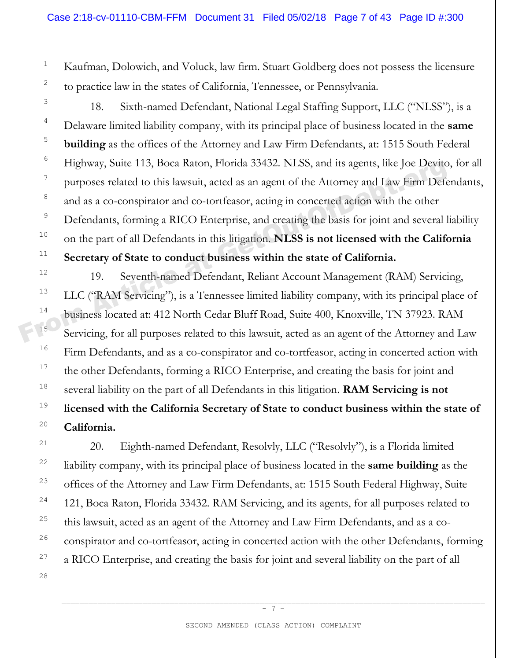Kaufman, Dolowich, and Voluck, law firm. Stuart Goldberg does not possess the licensure to practice law in the states of California, Tennessee, or Pennsylvania.

18. Sixth-named Defendant, National Legal Staffing Support, LLC ("NLSS"), is a Delaware limited liability company, with its principal place of business located in the **same building** as the offices of the Attorney and Law Firm Defendants, at: 1515 South Federal Highway, Suite 113, Boca Raton, Florida 33432. NLSS, and its agents, like Joe Devito, for all purposes related to this lawsuit, acted as an agent of the Attorney and Law Firm Defendants, and as a co-conspirator and co-tortfeasor, acting in concerted action with the other Defendants, forming a RICO Enterprise, and creating the basis for joint and several liability on the part of all Defendants in this litigation. **NLSS is not licensed with the California Secretary of State to conduct business within the state of California.** Frighway, Suite 113, Boca Raton, Florida 33432. NLSS, and its agents, like Joe Devito<br>
purposes related to this lawsuit, acted as an agent of the Attorney and Law Firm Defe<br>
and as a co-conspirator and co-tortfeasor, actin

19. Seventh-named Defendant, Reliant Account Management (RAM) Servicing, LLC ("RAM Servicing"), is a Tennessee limited liability company, with its principal place of business located at: 412 North Cedar Bluff Road, Suite 400, Knoxville, TN 37923. RAM Servicing, for all purposes related to this lawsuit, acted as an agent of the Attorney and Law Firm Defendants, and as a co-conspirator and co-tortfeasor, acting in concerted action with the other Defendants, forming a RICO Enterprise, and creating the basis for joint and several liability on the part of all Defendants in this litigation. **RAM Servicing is not licensed with the California Secretary of State to conduct business within the state of California.**

20. Eighth-named Defendant, Resolvly, LLC ("Resolvly"), is a Florida limited liability company, with its principal place of business located in the **same building** as the offices of the Attorney and Law Firm Defendants, at: 1515 South Federal Highway, Suite 121, Boca Raton, Florida 33432. RAM Servicing, and its agents, for all purposes related to this lawsuit, acted as an agent of the Attorney and Law Firm Defendants, and as a coconspirator and co-tortfeasor, acting in concerted action with the other Defendants, forming a RICO Enterprise, and creating the basis for joint and several liability on the part of all

\_\_\_\_\_\_\_\_\_\_\_\_\_\_\_\_\_\_\_\_\_\_\_\_\_\_\_\_\_\_\_\_\_\_\_\_\_\_\_\_\_\_\_\_\_\_\_\_\_\_\_\_\_\_\_\_\_\_\_\_\_\_\_\_\_\_\_\_\_\_\_\_\_\_\_\_\_\_\_\_\_\_\_\_\_\_\_\_\_\_\_\_\_\_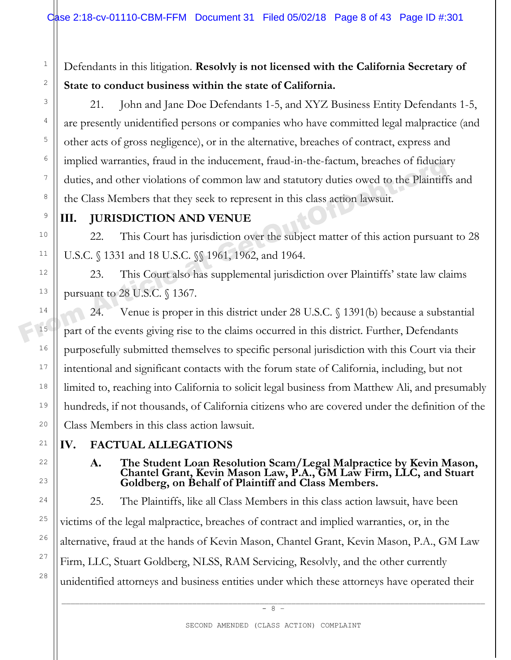# Defendants in this litigation. **Resolvly is not licensed with the California Secretary of State to conduct business within the state of California.**

21. John and Jane Doe Defendants 1-5, and XYZ Business Entity Defendants 1-5, are presently unidentified persons or companies who have committed legal malpractice (and other acts of gross negligence), or in the alternative, breaches of contract, express and implied warranties, fraud in the inducement, fraud-in-the-factum, breaches of fiduciary duties, and other violations of common law and statutory duties owed to the Plaintiffs and the Class Members that they seek to represent in this class action lawsuit. From Article at Get of the Risk Members that they seek to represent in this class action lawsuit.<br>
<sup>7</sup><br>
<sup>8</sup><br> **III. JURISDICTION AND VENUE**<br>
22. This Court has jurisdiction over the subject matter of this action pursuan<br>

# **III. JURISDICTION AND VENUE**

1

2

3

4

5

6

7

8

9

10

11

12

13

14

15

16

17

18

19

20

21

22

23

24

25

26

27

28

22. This Court has jurisdiction over the subject matter of this action pursuant to 28 U.S.C. § 1331 and 18 U.S.C. §§ 1961, 1962, and 1964.

23. This Court also has supplemental jurisdiction over Plaintiffs' state law claims pursuant to 28 U.S.C. § 1367.

24. Venue is proper in this district under 28 U.S.C. § 1391(b) because a substantial part of the events giving rise to the claims occurred in this district. Further, Defendants purposefully submitted themselves to specific personal jurisdiction with this Court via their intentional and significant contacts with the forum state of California, including, but not limited to, reaching into California to solicit legal business from Matthew Ali, and presumably hundreds, if not thousands, of California citizens who are covered under the definition of the Class Members in this class action lawsuit.

# **IV. FACTUAL ALLEGATIONS**

**A. The Student Loan Resolution Scam/Legal Malpractice by Kevin Mason, Chantel Grant, Kevin Mason Law, P.A., GM Law Firm, LLC, and Stuart Goldberg, on Behalf of Plaintiff and Class Members.** 

25. The Plaintiffs, like all Class Members in this class action lawsuit, have been victims of the legal malpractice, breaches of contract and implied warranties, or, in the alternative, fraud at the hands of Kevin Mason, Chantel Grant, Kevin Mason, P.A., GM Law Firm, LLC, Stuart Goldberg, NLSS, RAM Servicing, Resolvly, and the other currently unidentified attorneys and business entities under which these attorneys have operated their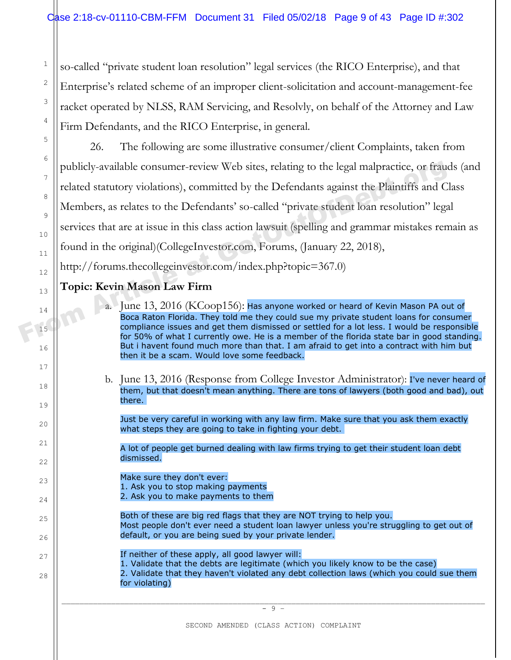so-called "private student loan resolution" legal services (the RICO Enterprise), and that Enterprise's related scheme of an improper client-solicitation and account-management-fee racket operated by NLSS, RAM Servicing, and Resolvly, on behalf of the Attorney and Law Firm Defendants, and the RICO Enterprise, in general.

26. The following are some illustrative consumer/client Complaints, taken from publicly-available consumer-review Web sites, relating to the legal malpractice, or frauds (and related statutory violations), committed by the Defendants against the Plaintiffs and Class Members, as relates to the Defendants' so-called "private student loan resolution" legal services that are at issue in this class action lawsuit (spelling and grammar mistakes remain as found in the original)(CollegeInvestor.com, Forums, (January 22, 2018), http://forums.thecollegeinvestor.com/index.php?topic=367.0) publicly-available consumer-review Web sites, relating to the legal malpractice, or fraud<br>
related statutory violations), committed by the Defendants against the Plaintiffs and C<br>
Members, as relates to the Defendants' so-

#### **Topic: Kevin Mason Law Firm**

1

2

3

4

5

6

7

8

9

10

11

12

13

14

16

17

18

19

 $20$ 

21

22

 $23$ 

24

25

26

27

28

15

- a. June 13, 2016 (KCoop156): Has anyone worked or heard of Kevin Mason PA out of Boca Raton Florida. They told me they could sue my private student loans for consumer compliance issues and get them dismissed or settled for a lot less. I would be responsible for 50% of what I currently owe. He is a member of the florida state bar in good standing. But i havent found much more than that. I am afraid to get into a contract with him but then it be a scam. Would love some feedback.
- b. June 13, 2016 (Response from College Investor Administrator): I've never heard of them, but that doesn't mean anything. There are tons of lawyers (both good and bad), out there.

Just be very careful in working with any law firm. Make sure that you ask them exactly what steps they are going to take in fighting your debt.

A lot of people get burned dealing with law firms trying to get their student loan debt dismissed.

Make sure they don't ever: 1. Ask you to stop making payments 2. Ask you to make payments to them

- Both of these are big red flags that they are NOT trying to help you. Most people don't ever need a student loan lawyer unless you're struggling to get out of default, or you are being sued by your private lender.
- If neither of these apply, all good lawyer will:
- 1. Validate that the debts are legitimate (which you likely know to be the case)
- 2. Validate that they haven't violated any debt collection laws (which you could sue them for violating)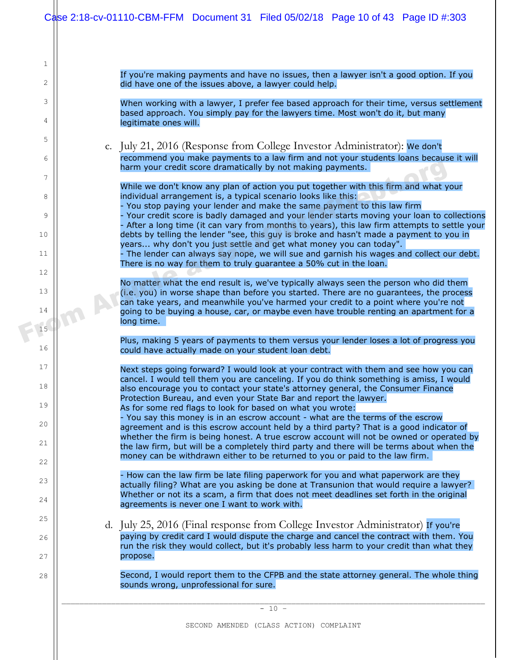|                 |         | Case 2:18-cv-01110-CBM-FFM Document 31 Filed 05/02/18 Page 10 of 43 Page ID #:303                                                                                                                                                                                        |  |  |  |
|-----------------|---------|--------------------------------------------------------------------------------------------------------------------------------------------------------------------------------------------------------------------------------------------------------------------------|--|--|--|
| $\mathbf{1}$    |         |                                                                                                                                                                                                                                                                          |  |  |  |
| $\mathbf{2}$    |         | If you're making payments and have no issues, then a lawyer isn't a good option. If you<br>did have one of the issues above, a lawyer could help.                                                                                                                        |  |  |  |
| 3               |         | When working with a lawyer, I prefer fee based approach for their time, versus settlement                                                                                                                                                                                |  |  |  |
| 4               |         | based approach. You simply pay for the lawyers time. Most won't do it, but many<br>legitimate ones will.                                                                                                                                                                 |  |  |  |
| 5               |         | c. July 21, 2016 (Response from College Investor Administrator): We don't                                                                                                                                                                                                |  |  |  |
| 6               |         | recommend you make payments to a law firm and not your students loans because it will<br>harm your credit score dramatically by not making payments.                                                                                                                     |  |  |  |
| $\sqrt{ }$<br>8 |         | While we don't know any plan of action you put together with this firm and what your<br>individual arrangement is, a typical scenario looks like this:                                                                                                                   |  |  |  |
| 9               |         | - You stop paying your lender and make the same payment to this law firm<br>- Your credit score is badly damaged and your lender starts moving your loan to collections                                                                                                  |  |  |  |
| 10              |         | - After a long time (it can vary from months to years), this law firm attempts to settle your<br>debts by telling the lender "see, this guy is broke and hasn't made a payment to you in                                                                                 |  |  |  |
| 11              |         | years why don't you just settle and get what money you can today".<br>The lender can always say nope, we will sue and garnish his wages and collect our debt.                                                                                                            |  |  |  |
| 12              |         | There is no way for them to truly guarantee a 50% cut in the loan.                                                                                                                                                                                                       |  |  |  |
| 13              |         | No matter what the end result is, we've typically always seen the person who did them<br>(i.e. you) in worse shape than before you started. There are no guarantees, the process<br>can take years, and meanwhile you've harmed your credit to a point where you're not  |  |  |  |
| 14              |         | going to be buying a house, car, or maybe even have trouble renting an apartment for a<br>long time.                                                                                                                                                                     |  |  |  |
| 15<br>16        |         | Plus, making 5 years of payments to them versus your lender loses a lot of progress you<br>could have actually made on your student loan debt.                                                                                                                           |  |  |  |
| 17              |         | Next steps going forward? I would look at your contract with them and see how you can                                                                                                                                                                                    |  |  |  |
| 18              |         | cancel. I would tell them you are canceling. If you do think something is amiss, I would<br>also encourage you to contact your state's attorney general, the Consumer Finance                                                                                            |  |  |  |
| 19              |         | Protection Bureau, and even your State Bar and report the lawyer.<br>As for some red flags to look for based on what you wrote:                                                                                                                                          |  |  |  |
| 20              |         | - You say this money is in an escrow account - what are the terms of the escrow<br>agreement and is this escrow account held by a third party? That is a good indicator of<br>whether the firm is being honest. A true escrow account will not be owned or operated by   |  |  |  |
| 21              |         | the law firm, but will be a completely third party and there will be terms about when the<br>money can be withdrawn either to be returned to you or paid to the law firm.                                                                                                |  |  |  |
| 22              |         | How can the law firm be late filing paperwork for you and what paperwork are they                                                                                                                                                                                        |  |  |  |
| 23<br>24        |         | actually filing? What are you asking be done at Transunion that would require a lawyer?<br>Whether or not its a scam, a firm that does not meet deadlines set forth in the original<br>agreements is never one I want to work with.                                      |  |  |  |
| 25              |         |                                                                                                                                                                                                                                                                          |  |  |  |
| 26              |         | d. July 25, 2016 (Final response from College Investor Administrator) If you're<br>paying by credit card I would dispute the charge and cancel the contract with them. You<br>run the risk they would collect, but it's probably less harm to your credit than what they |  |  |  |
| 27              |         | propose.                                                                                                                                                                                                                                                                 |  |  |  |
| 28              |         | Second, I would report them to the CFPB and the state attorney general. The whole thing<br>sounds wrong, unprofessional for sure.                                                                                                                                        |  |  |  |
|                 | $-10 -$ |                                                                                                                                                                                                                                                                          |  |  |  |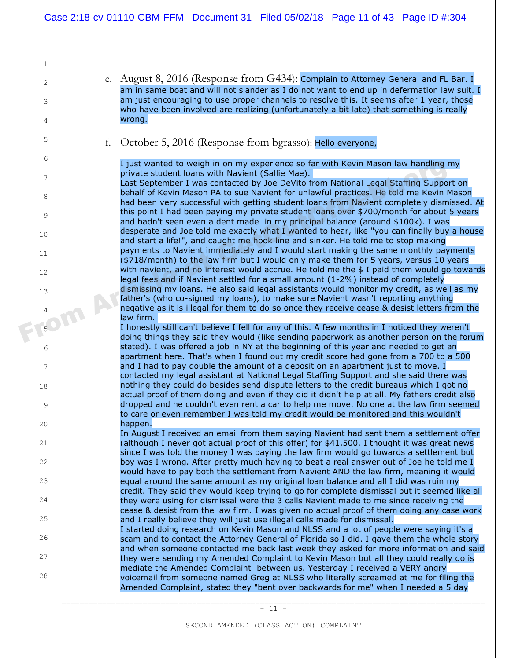e. August 8, 2016 (Response from G434): Complain to Attorney General and FL Bar. I am in same boat and will not slander as I do not want to end up in defermation law suit. I am just encouraging to use proper channels to resolve this. It seems after 1 year, those who have been involved are realizing (unfortunately a bit late) that something is really wrong.

f. October 5, 2016 (Response from bgrasso): Hello everyone,

1

2

3

4

5

6

7

8

9

10

11

12

13

14

15

16

17

18

19

20

21

22

 $23$ 

24

25

26

27

28

I just wanted to weigh in on my experience so far with Kevin Mason law handling my private student loans with Navient (Sallie Mae).

Last September I was contacted by Joe DeVito from National Legal Staffing Support on behalf of Kevin Mason PA to sue Navient for unlawful practices. He told me Kevin Mason had been very successful with getting student loans from Navient completely dismissed. At this point I had been paying my private student loans over \$700/month for about 5 years and hadn't seen even a dent made in my principal balance (around \$100k). I was desperate and Joe told me exactly what I wanted to hear, like "you can finally buy a house and start a life!", and caught me hook line and sinker. He told me to stop making payments to Navient immediately and I would start making the same monthly payments (\$718/month) to the law firm but I would only make them for 5 years, versus 10 years with navient, and no interest would accrue. He told me the \$ I paid them would go towards legal fees and if Navient settled for a small amount (1-2%) instead of completely dismissing my loans. He also said legal assistants would monitor my credit, as well as my father's (who co-signed my loans), to make sure Navient wasn't reporting anything negative as it is illegal for them to do so once they receive cease & desist letters from the law firm. Figure wanted to weight in on my experience so far with Kevin Mason law handling<br>
private student loans with Navient (Sallie Mae).<br>
Last September I was contacted by Joe DeVito from National Legal Staffing Suppo<br>
behalf of

I honestly still can't believe I fell for any of this. A few months in I noticed they weren't doing things they said they would (like sending paperwork as another person on the forum stated). I was offered a job in NY at the beginning of this year and needed to get an apartment here. That's when I found out my credit score had gone from a 700 to a 500 and I had to pay double the amount of a deposit on an apartment just to move. I contacted my legal assistant at National Legal Staffing Support and she said there was nothing they could do besides send dispute letters to the credit bureaus which I got no actual proof of them doing and even if they did it didn't help at all. My fathers credit also dropped and he couldn't even rent a car to help me move. No one at the law firm seemed to care or even remember I was told my credit would be monitored and this wouldn't happen.

In August I received an email from them saying Navient had sent them a settlement offer (although I never got actual proof of this offer) for \$41,500. I thought it was great news since I was told the money I was paying the law firm would go towards a settlement but boy was I wrong. After pretty much having to beat a real answer out of Joe he told me I would have to pay both the settlement from Navient AND the law firm, meaning it would equal around the same amount as my original loan balance and all I did was ruin my credit. They said they would keep trying to go for complete dismissal but it seemed like all they were using for dismissal were the 3 calls Navient made to me since receiving the cease & desist from the law firm. I was given no actual proof of them doing any case work and I really believe they will just use illegal calls made for dismissal.

I started doing research on Kevin Mason and NLSS and a lot of people were saying it's a scam and to contact the Attorney General of Florida so I did. I gave them the whole story and when someone contacted me back last week they asked for more information and said they were sending my Amended Complaint to Kevin Mason but all they could really do is mediate the Amended Complaint between us. Yesterday I received a VERY angry voicemail from someone named Greg at NLSS who literally screamed at me for filing the Amended Complaint, stated they "bent over backwards for me" when I needed a 5 day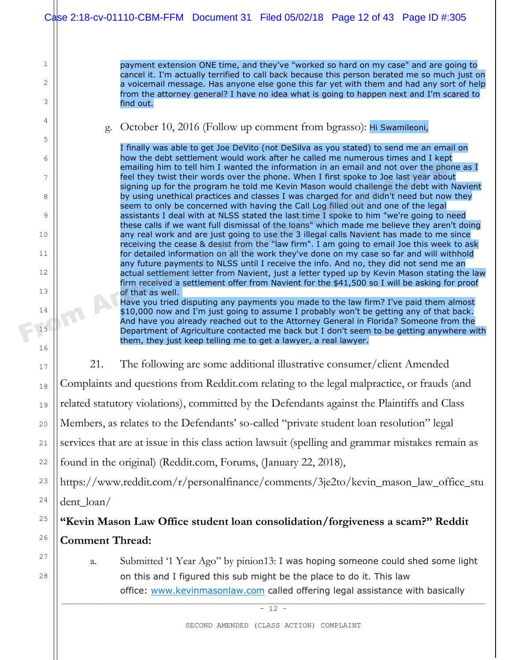| Case 2:18-cv-01110-CBM-FFM Document 31 Filed 05/02/18 Page 12 of 43 Page ID #:305 |  |  |
|-----------------------------------------------------------------------------------|--|--|
|                                                                                   |  |  |

1

Ш

2

3

4

5

6

7

8

9

10

11

12

13

14

16

17

18

19

20

21

22

24

25

26

27

28

15

payment extension ONE time, and they've "worked so hard on my case" and are going to cancel it. I'm actually terrified to call back because this person berated me so much just on a voicemail message. Has anyone else gone this far yet with them and had any sort of help from the attorney general? I have no idea what is going to happen next and I'm scared to find out.

g. October 10, 2016 (Follow up comment from bgrasso): Hi Swamileoni,

I finally was able to get Joe DeVito (not DeSilva as you stated) to send me an email on how the debt settlement would work after he called me numerous times and I kept emailing him to tell him I wanted the information in an email and not over the phone as I feel they twist their words over the phone. When I first spoke to Joe last year about signing up for the program he told me Kevin Mason would challenge the debt with Navient by using unethical practices and classes I was charged for and didn't need but now they seem to only be concerned with having the Call Log filled out and one of the legal assistants I deal with at NLSS stated the last time I spoke to him "we're going to need these calls if we want full dismissal of the loans" which made me believe they aren't doing any real work and are just going to use the 3 illegal calls Navient has made to me since receiving the cease & desist from the "law firm". I am going to email Joe this week to ask for detailed information on all the work they've done on my case so far and will withhold any future payments to NLSS until I receive the info. And no, they did not send me an actual settlement letter from Navient, just a letter typed up by Kevin Mason stating the law firm received a settlement offer from Navient for the \$41,500 so I will be asking for proof of that as well. From the picture payer and the information in an email and not over the phenometric process of the phone. When I first spoke to Joe last year above the phone with the information would challenge the debt with by using unet

Have you tried disputing any payments you made to the law firm? I've paid them almost \$10,000 now and I'm just going to assume I probably won't be getting any of that back. And have you already reached out to the Attorney General in Florida? Someone from the Department of Agriculture contacted me back but I don't seem to be getting anywhere with them, they just keep telling me to get a lawyer, a real lawyer.

21. The following are some additional illustrative consumer/client Amended

Complaints and questions from Reddit.com relating to the legal malpractice, or frauds (and

related statutory violations), committed by the Defendants against the Plaintiffs and Class

Members, as relates to the Defendants' so-called "private student loan resolution" legal

services that are at issue in this class action lawsuit (spelling and grammar mistakes remain as

found in the original) (Reddit.com, Forums, (January 22, 2018),

23 https://www.reddit.com/r/personalfinance/comments/3je2to/kevin\_mason\_law\_office\_stu dent\_loan/

# **"Kevin Mason Law Office student loan consolidation/forgiveness a scam?" Reddit Comment Thread:**

a. Submitted '1 Year Ago" by pinion13: I was hoping someone could shed some light on this and I figured this sub might be the place to do it. This law office: www.kevinmasonlaw.com called offering legal assistance with basically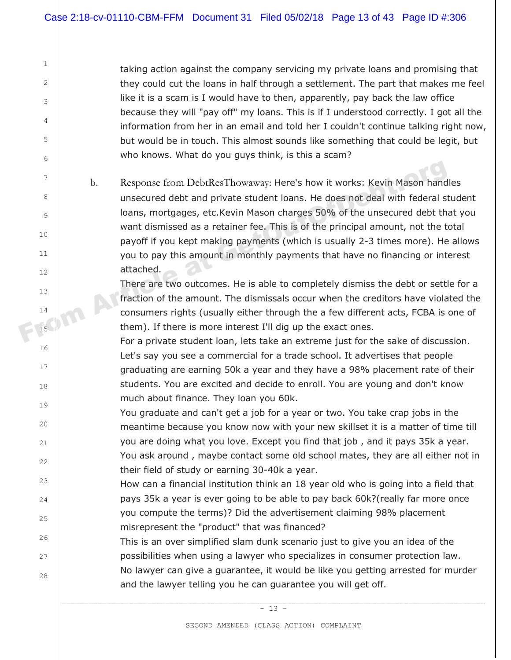1

2

3

4

5

6

7

8

9

10

11

12

13

14

15

16

17

18

19

20

21

22

 $23$ 

24

25

26

27

28

taking action against the company servicing my private loans and promising that they could cut the loans in half through a settlement. The part that makes me feel like it is a scam is I would have to then, apparently, pay back the law office because they will "pay off" my loans. This is if I understood correctly. I got all the information from her in an email and told her I couldn't continue talking right now, but would be in touch. This almost sounds like something that could be legit, but who knows. What do you guys think, is this a scam?

b. Response from DebtResThowaway: Here's how it works: Kevin Mason handles unsecured debt and private student loans. He does not deal with federal student loans, mortgages, etc.Kevin Mason charges 50% of the unsecured debt that you want dismissed as a retainer fee. This is of the principal amount, not the total payoff if you kept making payments (which is usually 2-3 times more). He allows you to pay this amount in monthly payments that have no financing or interest attached. From Article at GetTheorem and the student loans let describe the ske of discussion of From a private student loans. He does not deal with federal strates of the unsecured debt than the mass, mortgages, etc.<br>Kevin Mason ch

There are two outcomes. He is able to completely dismiss the debt or settle for a fraction of the amount. The dismissals occur when the creditors have violated the consumers rights (usually either through the a few different acts, FCBA is one of them). If there is more interest I'll dig up the exact ones.

For a private student loan, lets take an extreme just for the sake of discussion. Let's say you see a commercial for a trade school. It advertises that people graduating are earning 50k a year and they have a 98% placement rate of their students. You are excited and decide to enroll. You are young and don't know much about finance. They loan you 60k.

You graduate and can't get a job for a year or two. You take crap jobs in the meantime because you know now with your new skillset it is a matter of time till you are doing what you love. Except you find that job , and it pays 35k a year. You ask around , maybe contact some old school mates, they are all either not in their field of study or earning 30-40k a year.

How can a financial institution think an 18 year old who is going into a field that pays 35k a year is ever going to be able to pay back 60k?(really far more once you compute the terms)? Did the advertisement claiming 98% placement misrepresent the "product" that was financed?

This is an over simplified slam dunk scenario just to give you an idea of the possibilities when using a lawyer who specializes in consumer protection law. No lawyer can give a guarantee, it would be like you getting arrested for murder and the lawyer telling you he can guarantee you will get off.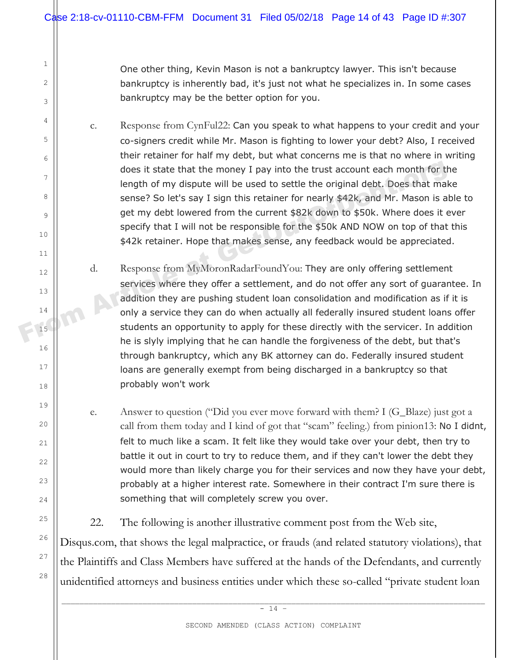One other thing, Kevin Mason is not a bankruptcy lawyer. This isn't because bankruptcy is inherently bad, it's just not what he specializes in. In some cases bankruptcy may be the better option for you.

c. Response from CynFul22: Can you speak to what happens to your credit and your co-signers credit while Mr. Mason is fighting to lower your debt? Also, I received their retainer for half my debt, but what concerns me is that no where in writing does it state that the money I pay into the trust account each month for the length of my dispute will be used to settle the original debt. Does that make sense? So let's say I sign this retainer for nearly \$42k, and Mr. Mason is able to get my debt lowered from the current \$82k down to \$50k. Where does it ever specify that I will not be responsible for the \$50k AND NOW on top of that this \$42k retainer. Hope that makes sense, any feedback would be appreciated. does it state that the money I pay into the trust account each month for the length of my dispute will be used to settle the original debt. Does that makes ense? So let's say I sign this retainer for nearly \$42k, and Mr. M

- d. Response from MyMoronRadarFoundYou: They are only offering settlement services where they offer a settlement, and do not offer any sort of guarantee. In addition they are pushing student loan consolidation and modification as if it is only a service they can do when actually all federally insured student loans offer students an opportunity to apply for these directly with the servicer. In addition he is slyly implying that he can handle the forgiveness of the debt, but that's through bankruptcy, which any BK attorney can do. Federally insured student loans are generally exempt from being discharged in a bankruptcy so that probably won't work
- e. Answer to question ("Did you ever move forward with them? I (G\_Blaze) just got a call from them today and I kind of got that "scam" feeling.) from pinion13: No I didnt, felt to much like a scam. It felt like they would take over your debt, then try to battle it out in court to try to reduce them, and if they can't lower the debt they would more than likely charge you for their services and now they have your debt, probably at a higher interest rate. Somewhere in their contract I'm sure there is something that will completely screw you over.
- 22. The following is another illustrative comment post from the Web site,

Disqus.com, that shows the legal malpractice, or frauds (and related statutory violations), that the Plaintiffs and Class Members have suffered at the hands of the Defendants, and currently unidentified attorneys and business entities under which these so-called "private student loan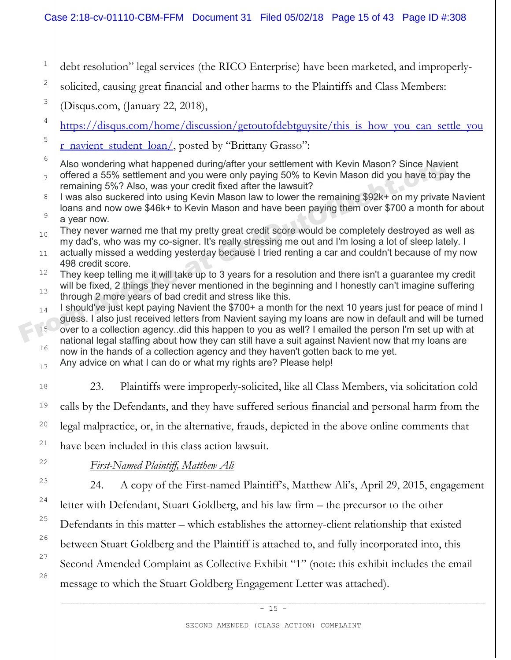1 2 3 4 5 6 7 8 9 10 11 12 13 14 15 16 17 18 19 20 21 22 23 24 25 26 27 28 debt resolution" legal services (the RICO Enterprise) have been marketed, and improperlysolicited, causing great financial and other harms to the Plaintiffs and Class Members: (Disqus.com, (January 22, 2018), https://disqus.com/home/discussion/getoutofdebtguysite/this is how you can settle you r\_navient\_student\_loan/, posted by "Brittany Grasso": Also wondering what happened during/after your settlement with Kevin Mason? Since Navient offered a 55% settlement and you were only paying 50% to Kevin Mason did you have to pay the remaining 5%? Also, was your credit fixed after the lawsuit? I was also suckered into using Kevin Mason law to lower the remaining \$92k+ on my private Navient loans and now owe \$46k+ to Kevin Mason and have been paying them over \$700 a month for about a year now. They never warned me that my pretty great credit score would be completely destroyed as well as my dad's, who was my co-signer. It's really stressing me out and I'm losing a lot of sleep lately. I actually missed a wedding yesterday because I tried renting a car and couldn't because of my now 498 credit score. They keep telling me it will take up to 3 years for a resolution and there isn't a guarantee my credit will be fixed, 2 things they never mentioned in the beginning and I honestly can't imagine suffering through 2 more years of bad credit and stress like this. I should've just kept paying Navient the \$700+ a month for the next 10 years just for peace of mind I guess. I also just received letters from Navient saying my loans are now in default and will be turned over to a collection agency..did this happen to you as well? I emailed the person I'm set up with at national legal staffing about how they can still have a suit against Navient now that my loans are now in the hands of a collection agency and they haven't gotten back to me yet. Any advice on what I can do or what my rights are? Please help! 23. Plaintiffs were improperly-solicited, like all Class Members, via solicitation cold calls by the Defendants, and they have suffered serious financial and personal harm from the legal malpractice, or, in the alternative, frauds, depicted in the above online comments that have been included in this class action lawsuit. *First-Named Plaintiff, Matthew Ali*  24. A copy of the First-named Plaintiff's, Matthew Ali's, April 29, 2015, engagement letter with Defendant, Stuart Goldberg, and his law firm – the precursor to the other Defendants in this matter – which establishes the attorney-client relationship that existed between Stuart Goldberg and the Plaintiff is attached to, and fully incorporated into, this Second Amended Complaint as Collective Exhibit "1" (note: this exhibit includes the email message to which the Stuart Goldberg Engagement Letter was attached). Also wondering what happened during/after your settlement with Kevin Mason? Since Navie of a 55% settlement and you were only paying 50% to Kevin Mason did you have to pa<br>
remaining 5%? Also, was your credit fixed after th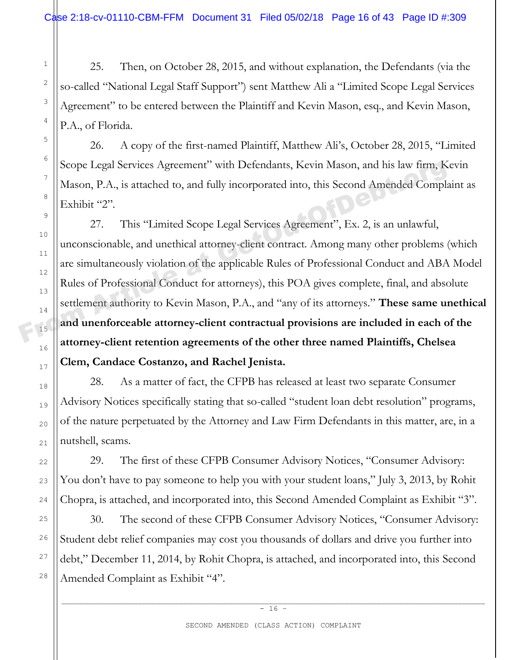25. Then, on October 28, 2015, and without explanation, the Defendants (via the so-called "National Legal Staff Support") sent Matthew Ali a "Limited Scope Legal Services Agreement" to be entered between the Plaintiff and Kevin Mason, esq., and Kevin Mason, P.A., of Florida.

26. A copy of the first-named Plaintiff, Matthew Ali's, October 28, 2015, "Limited Scope Legal Services Agreement" with Defendants, Kevin Mason, and his law firm, Kevin Mason, P.A., is attached to, and fully incorporated into, this Second Amended Complaint as Exhibit "2".

27. This "Limited Scope Legal Services Agreement", Ex. 2, is an unlawful, unconscionable, and unethical attorney-client contract. Among many other problems (which are simultaneously violation of the applicable Rules of Professional Conduct and ABA Model Rules of Professional Conduct for attorneys), this POA gives complete, final, and absolute settlement authority to Kevin Mason, P.A., and "any of its attorneys." **These same unethical and unenforceable attorney-client contractual provisions are included in each of the attorney-client retention agreements of the other three named Plaintiffs, Chelsea Clem, Candace Costanzo, and Rachel Jenista.** Scope Legal Services Agreement'' with Defendants, Kevin Mason, and his law firm, K<br>
Mason, P.A., is attached to, and fully incorporated into, this Second Amended Compla<br>
Exhibit "2".<br>
27. This "Limited Scope Legal Service

28. As a matter of fact, the CFPB has released at least two separate Consumer Advisory Notices specifically stating that so-called "student loan debt resolution" programs, of the nature perpetuated by the Attorney and Law Firm Defendants in this matter, are, in a nutshell, scams.

29. The first of these CFPB Consumer Advisory Notices, "Consumer Advisory: You don't have to pay someone to help you with your student loans," July 3, 2013, by Rohit Chopra, is attached, and incorporated into, this Second Amended Complaint as Exhibit "3".

30. The second of these CFPB Consumer Advisory Notices, "Consumer Advisory: Student debt relief companies may cost you thousands of dollars and drive you further into debt," December 11, 2014, by Rohit Chopra, is attached, and incorporated into, this Second Amended Complaint as Exhibit "4".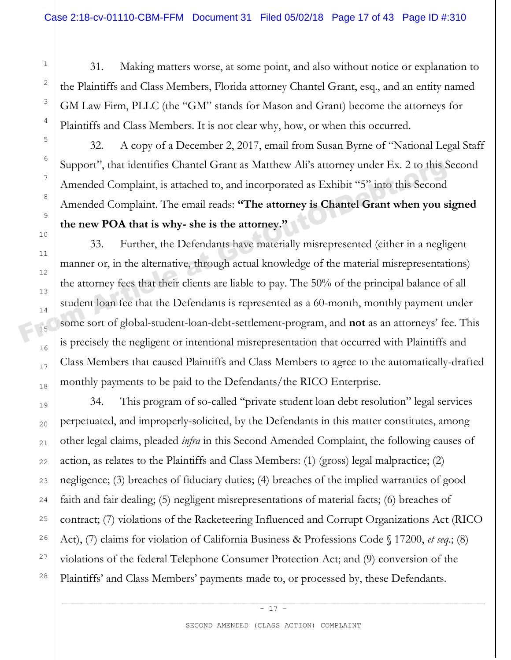31. Making matters worse, at some point, and also without notice or explanation to the Plaintiffs and Class Members, Florida attorney Chantel Grant, esq., and an entity named GM Law Firm, PLLC (the "GM" stands for Mason and Grant) become the attorneys for Plaintiffs and Class Members. It is not clear why, how, or when this occurred.

32. A copy of a December 2, 2017, email from Susan Byrne of "National Legal Staff Support", that identifies Chantel Grant as Matthew Ali's attorney under Ex. 2 to this Second Amended Complaint, is attached to, and incorporated as Exhibit "5" into this Second Amended Complaint. The email reads: **"The attorney is Chantel Grant when you signed the new POA that is why- she is the attorney."**

33. Further, the Defendants have materially misrepresented (either in a negligent manner or, in the alternative, through actual knowledge of the material misrepresentations) the attorney fees that their clients are liable to pay. The 50% of the principal balance of all student loan fee that the Defendants is represented as a 60-month, monthly payment under some sort of global-student-loan-debt-settlement-program, and **not** as an attorneys' fee. This is precisely the negligent or intentional misrepresentation that occurred with Plaintiffs and Class Members that caused Plaintiffs and Class Members to agree to the automatically-drafted monthly payments to be paid to the Defendants/the RICO Enterprise. Support", that identifies Chantel Grant as Matthew Ali's attorney under Ex. 2 to this S<br>
Amended Complaint, is attached to, and incorporated as Exhibit "5" into this Second<br>
Amended Complaint. The email reads: **"The attor** 

34. This program of so-called "private student loan debt resolution" legal services perpetuated, and improperly-solicited, by the Defendants in this matter constitutes, among other legal claims, pleaded *infra* in this Second Amended Complaint, the following causes of action, as relates to the Plaintiffs and Class Members: (1) (gross) legal malpractice; (2) negligence; (3) breaches of fiduciary duties; (4) breaches of the implied warranties of good faith and fair dealing; (5) negligent misrepresentations of material facts; (6) breaches of contract; (7) violations of the Racketeering Influenced and Corrupt Organizations Act (RICO Act), (7) claims for violation of California Business & Professions Code § 17200, *et seq*.; (8) violations of the federal Telephone Consumer Protection Act; and (9) conversion of the Plaintiffs' and Class Members' payments made to, or processed by, these Defendants.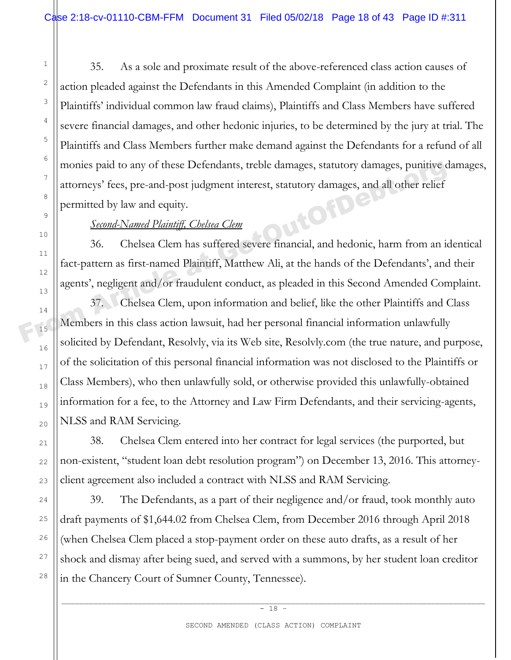35. As a sole and proximate result of the above-referenced class action causes of action pleaded against the Defendants in this Amended Complaint (in addition to the Plaintiffs' individual common law fraud claims), Plaintiffs and Class Members have suffered severe financial damages, and other hedonic injuries, to be determined by the jury at trial. The Plaintiffs and Class Members further make demand against the Defendants for a refund of all monies paid to any of these Defendants, treble damages, statutory damages, punitive damages, attorneys' fees, pre-and-post judgment interest, statutory damages, and all other relief permitted by law and equity.

# *Second-Named Plaintiff, Chelsea Clem*

36. Chelsea Clem has suffered severe financial, and hedonic, harm from an identical fact-pattern as first-named Plaintiff, Matthew Ali, at the hands of the Defendants', and their agents', negligent and/or fraudulent conduct, as pleaded in this Second Amended Complaint. monies paid to any of these Defendants, treble damages, statutory damages, punitive contract at all other relief<br>  $\begin{bmatrix}\n\text{atoreps' fies, pre-and-post judgment interest, statutory damages, and all other relief  
\npermitted by law and equity.\n\end{bmatrix}$ <br>
<u>Second-Named Plaintiff, Chelsea Clem</u><br>
36. Chelsea Cle

37. Chelsea Clem, upon information and belief, like the other Plaintiffs and Class Members in this class action lawsuit, had her personal financial information unlawfully solicited by Defendant, Resolvly, via its Web site, Resolvly.com (the true nature, and purpose, of the solicitation of this personal financial information was not disclosed to the Plaintiffs or Class Members), who then unlawfully sold, or otherwise provided this unlawfully-obtained information for a fee, to the Attorney and Law Firm Defendants, and their servicing-agents, NLSS and RAM Servicing.

38. Chelsea Clem entered into her contract for legal services (the purported, but non-existent, "student loan debt resolution program") on December 13, 2016. This attorneyclient agreement also included a contract with NLSS and RAM Servicing.

39. The Defendants, as a part of their negligence and/or fraud, took monthly auto draft payments of \$1,644.02 from Chelsea Clem, from December 2016 through April 2018 (when Chelsea Clem placed a stop-payment order on these auto drafts, as a result of her shock and dismay after being sued, and served with a summons, by her student loan creditor in the Chancery Court of Sumner County, Tennessee).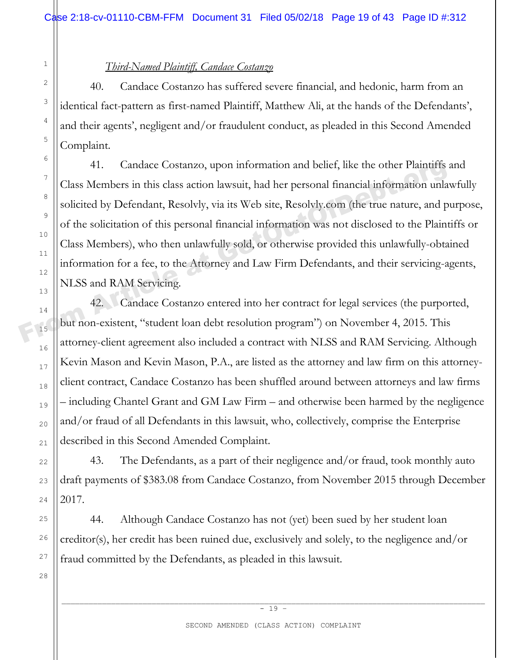### *Third-Named Plaintiff, Candace Costanzo*

40. Candace Costanzo has suffered severe financial, and hedonic, harm from an identical fact-pattern as first-named Plaintiff, Matthew Ali, at the hands of the Defendants', and their agents', negligent and/or fraudulent conduct, as pleaded in this Second Amended Complaint.

41. Candace Costanzo, upon information and belief, like the other Plaintiffs and Class Members in this class action lawsuit, had her personal financial information unlawfully solicited by Defendant, Resolvly, via its Web site, Resolvly.com (the true nature, and purpose, of the solicitation of this personal financial information was not disclosed to the Plaintiffs or Class Members), who then unlawfully sold, or otherwise provided this unlawfully-obtained information for a fee, to the Attorney and Law Firm Defendants, and their servicing-agents, NLSS and RAM Servicing. <sup>14</sup><br>
Class Members in this class action lawsuit, had her personal financial information unla<br>
<sup>8</sup><br>
solicited by Defendant, Resolvly, via its Web site, Resolvly.com (the true nature, and p<br>
of the solicitation of this pers

42. Candace Costanzo entered into her contract for legal services (the purported, but non-existent, "student loan debt resolution program") on November 4, 2015. This attorney-client agreement also included a contract with NLSS and RAM Servicing. Although Kevin Mason and Kevin Mason, P.A., are listed as the attorney and law firm on this attorneyclient contract, Candace Costanzo has been shuffled around between attorneys and law firms – including Chantel Grant and GM Law Firm – and otherwise been harmed by the negligence and/or fraud of all Defendants in this lawsuit, who, collectively, comprise the Enterprise described in this Second Amended Complaint.

43. The Defendants, as a part of their negligence and/or fraud, took monthly auto draft payments of \$383.08 from Candace Costanzo, from November 2015 through December 2017.

44. Although Candace Costanzo has not (yet) been sued by her student loan creditor(s), her credit has been ruined due, exclusively and solely, to the negligence and/or fraud committed by the Defendants, as pleaded in this lawsuit.

\_\_\_\_\_\_\_\_\_\_\_\_\_\_\_\_\_\_\_\_\_\_\_\_\_\_\_\_\_\_\_\_\_\_\_\_\_\_\_\_\_\_\_\_\_\_\_\_\_\_\_\_\_\_\_\_\_\_\_\_\_\_\_\_\_\_\_\_\_\_\_\_\_\_\_\_\_\_\_\_\_\_\_\_\_\_\_\_\_\_\_\_\_\_  $- 19 -$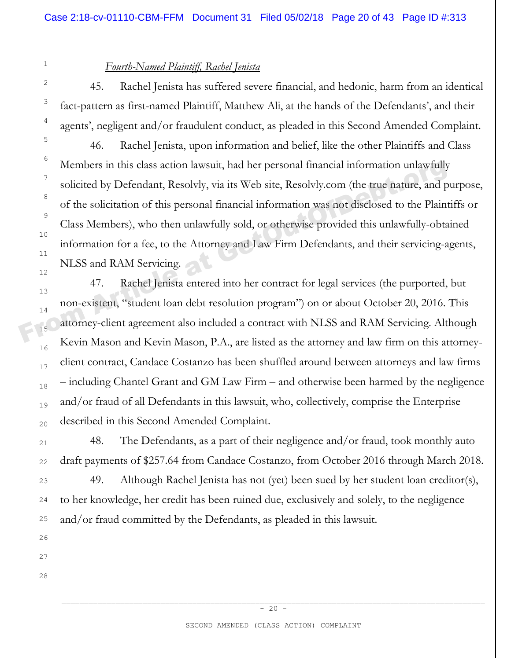#### *Fourth-Named Plaintiff, Rachel Jenista*

45. Rachel Jenista has suffered severe financial, and hedonic, harm from an identical fact-pattern as first-named Plaintiff, Matthew Ali, at the hands of the Defendants', and their agents', negligent and/or fraudulent conduct, as pleaded in this Second Amended Complaint.

46. Rachel Jenista, upon information and belief, like the other Plaintiffs and Class Members in this class action lawsuit, had her personal financial information unlawfully solicited by Defendant, Resolvly, via its Web site, Resolvly.com (the true nature, and purpose, of the solicitation of this personal financial information was not disclosed to the Plaintiffs or Class Members), who then unlawfully sold, or otherwise provided this unlawfully-obtained information for a fee, to the Attorney and Law Firm Defendants, and their servicing-agents, NLSS and RAM Servicing. Members in this class action lawsuit, had her personal financial information unlawfully<br>
solicited by Defendant, Resolvly, via its Web site, Resolvly.com (the true nature, and p<br>
of the solicitation of this personal financ

47. Rachel Jenista entered into her contract for legal services (the purported, but non-existent, "student loan debt resolution program") on or about October 20, 2016. This attorney-client agreement also included a contract with NLSS and RAM Servicing. Although Kevin Mason and Kevin Mason, P.A., are listed as the attorney and law firm on this attorneyclient contract, Candace Costanzo has been shuffled around between attorneys and law firms – including Chantel Grant and GM Law Firm – and otherwise been harmed by the negligence and/or fraud of all Defendants in this lawsuit, who, collectively, comprise the Enterprise described in this Second Amended Complaint.

48. The Defendants, as a part of their negligence and/or fraud, took monthly auto draft payments of \$257.64 from Candace Costanzo, from October 2016 through March 2018.

49. Although Rachel Jenista has not (yet) been sued by her student loan creditor(s), to her knowledge, her credit has been ruined due, exclusively and solely, to the negligence and/or fraud committed by the Defendants, as pleaded in this lawsuit.

1

2

3

4

5

6

7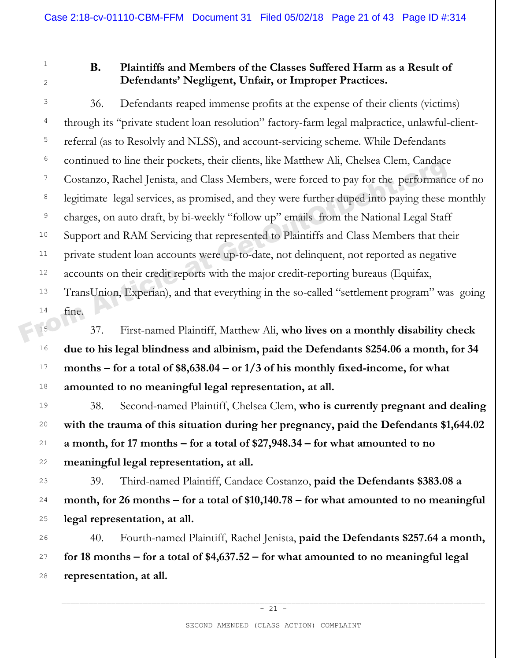### **B. Plaintiffs and Members of the Classes Suffered Harm as a Result of Defendants' Negligent, Unfair, or Improper Practices.**

36. Defendants reaped immense profits at the expense of their clients (victims) through its "private student loan resolution" factory-farm legal malpractice, unlawful-clientreferral (as to Resolvly and NLSS), and account-servicing scheme. While Defendants continued to line their pockets, their clients, like Matthew Ali, Chelsea Clem, Candace Costanzo, Rachel Jenista, and Class Members, were forced to pay for the performance of no legitimate legal services, as promised, and they were further duped into paying these monthly charges, on auto draft, by bi-weekly "follow up" emails from the National Legal Staff Support and RAM Servicing that represented to Plaintiffs and Class Members that their private student loan accounts were up-to-date, not delinquent, not reported as negative accounts on their credit reports with the major credit-reporting bureaus (Equifax, TransUnion, Experian), and that everything in the so-called "settlement program" was going fine. From Article at Guidal Costanzo, Rachel Jenista, and Class Members, were forced to pay for the performance of the performance of the performance of the performance of the performance at a segal services, as promised, and t

37. First-named Plaintiff, Matthew Ali, **who lives on a monthly disability check due to his legal blindness and albinism, paid the Defendants \$254.06 a month, for 34 months – for a total of \$8,638.04 – or 1/3 of his monthly fixed-income, for what amounted to no meaningful legal representation, at all.** 

38. Second-named Plaintiff, Chelsea Clem, **who is currently pregnant and dealing with the trauma of this situation during her pregnancy, paid the Defendants \$1,644.02 a month, for 17 months – for a total of \$27,948.34 – for what amounted to no meaningful legal representation, at all.** 

39. Third-named Plaintiff, Candace Costanzo, **paid the Defendants \$383.08 a month, for 26 months – for a total of \$10,140.78 – for what amounted to no meaningful legal representation, at all.** 

40. Fourth-named Plaintiff, Rachel Jenista, **paid the Defendants \$257.64 a month, for 18 months – for a total of \$4,637.52 – for what amounted to no meaningful legal representation, at all.**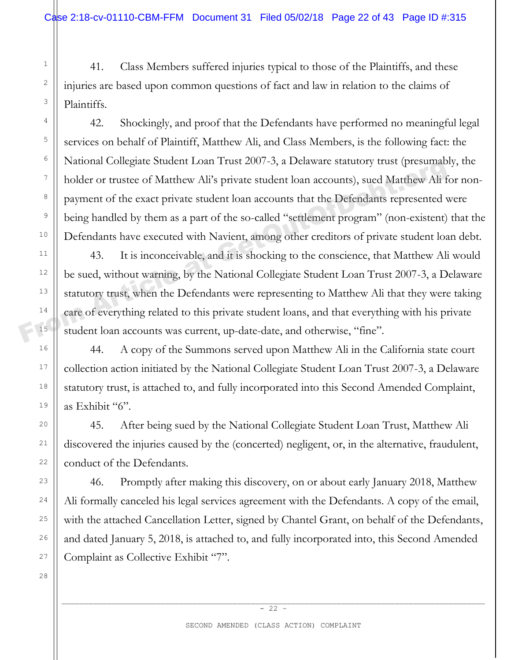41. Class Members suffered injuries typical to those of the Plaintiffs, and these injuries are based upon common questions of fact and law in relation to the claims of Plaintiffs.

42. Shockingly, and proof that the Defendants have performed no meaningful legal services on behalf of Plaintiff, Matthew Ali, and Class Members, is the following fact: the National Collegiate Student Loan Trust 2007-3, a Delaware statutory trust (presumably, the holder or trustee of Matthew Ali's private student loan accounts), sued Matthew Ali for nonpayment of the exact private student loan accounts that the Defendants represented were being handled by them as a part of the so-called "settlement program" (non-existent) that the Defendants have executed with Navient, among other creditors of private student loan debt.

43. It is inconceivable, and it is shocking to the conscience, that Matthew Ali would be sued, without warning, by the National Collegiate Student Loan Trust 2007-3, a Delaware statutory trust, when the Defendants were representing to Matthew Ali that they were taking care of everything related to this private student loans, and that everything with his private student loan accounts was current, up-date-date, and otherwise, "fine". Franconal Conegate Student Loan Trust 2007-5, a Detawate statutory trust (presumable bolder or trustee of Matthew Ali's private student loan accounts hat the Defendants represented vertice at private student loan accounts

44. A copy of the Summons served upon Matthew Ali in the California state court collection action initiated by the National Collegiate Student Loan Trust 2007-3, a Delaware statutory trust, is attached to, and fully incorporated into this Second Amended Complaint, as Exhibit "6".

45. After being sued by the National Collegiate Student Loan Trust, Matthew Ali discovered the injuries caused by the (concerted) negligent, or, in the alternative, fraudulent, conduct of the Defendants.

46. Promptly after making this discovery, on or about early January 2018, Matthew Ali formally canceled his legal services agreement with the Defendants. A copy of the email, with the attached Cancellation Letter, signed by Chantel Grant, on behalf of the Defendants, and dated January 5, 2018, is attached to, and fully incorporated into, this Second Amended Complaint as Collective Exhibit "7".

27 28

1

2

3

4

5

6

7

8

9

10

11

12

13

14

15

16

17

18

19

20

21

22

23

24

25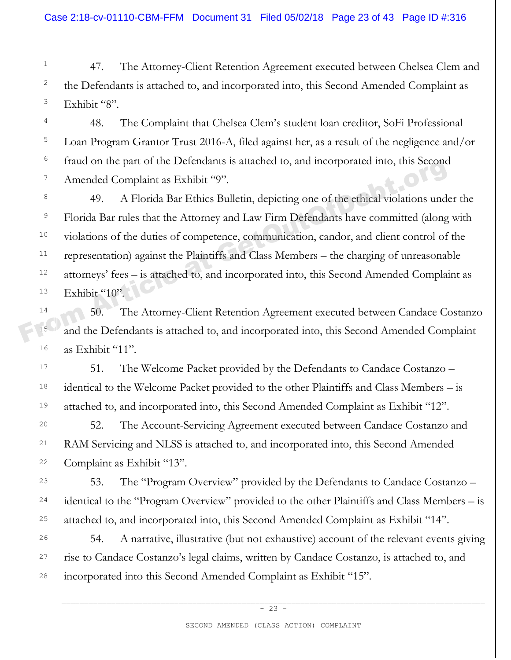47. The Attorney-Client Retention Agreement executed between Chelsea Clem and the Defendants is attached to, and incorporated into, this Second Amended Complaint as Exhibit "8".

48. The Complaint that Chelsea Clem's student loan creditor, SoFi Professional Loan Program Grantor Trust 2016-A, filed against her, as a result of the negligence and/or fraud on the part of the Defendants is attached to, and incorporated into, this Second Amended Complaint as Exhibit "9".

49. A Florida Bar Ethics Bulletin, depicting one of the ethical violations under the Florida Bar rules that the Attorney and Law Firm Defendants have committed (along with violations of the duties of competence, communication, candor, and client control of the representation) against the Plaintiffs and Class Members – the charging of unreasonable attorneys' fees – is attached to, and incorporated into, this Second Amended Complaint as Exhibit "10". Fraud of the part of the Detendants is attached to, and incorporated into, this second<br>
Amended Complaint as Exhibit "9".<br>
49. A Florida Bar Ethics Bulletin, depicting one of the ethical violations und<br>
Florida Bar rules t

50. The Attorney-Client Retention Agreement executed between Candace Costanzo and the Defendants is attached to, and incorporated into, this Second Amended Complaint as Exhibit "11".

51. The Welcome Packet provided by the Defendants to Candace Costanzo – identical to the Welcome Packet provided to the other Plaintiffs and Class Members – is attached to, and incorporated into, this Second Amended Complaint as Exhibit "12".

52. The Account-Servicing Agreement executed between Candace Costanzo and RAM Servicing and NLSS is attached to, and incorporated into, this Second Amended Complaint as Exhibit "13".

53. The "Program Overview" provided by the Defendants to Candace Costanzo – identical to the "Program Overview" provided to the other Plaintiffs and Class Members – is attached to, and incorporated into, this Second Amended Complaint as Exhibit "14".

54. A narrative, illustrative (but not exhaustive) account of the relevant events giving rise to Candace Costanzo's legal claims, written by Candace Costanzo, is attached to, and incorporated into this Second Amended Complaint as Exhibit "15".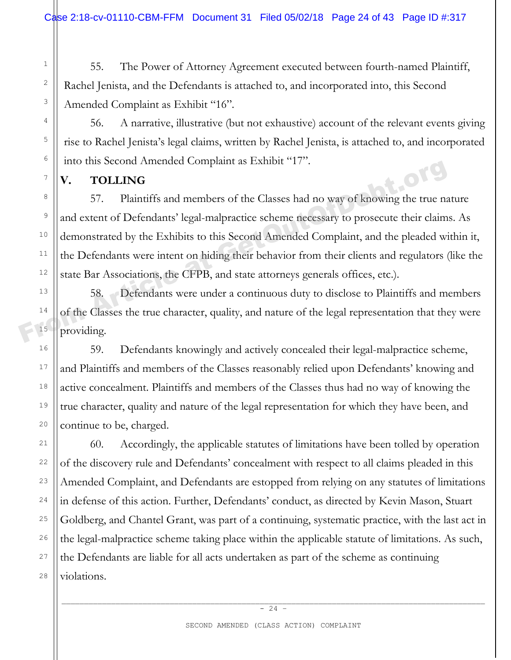55. The Power of Attorney Agreement executed between fourth-named Plaintiff, Rachel Jenista, and the Defendants is attached to, and incorporated into, this Second Amended Complaint as Exhibit "16".

56. A narrative, illustrative (but not exhaustive) account of the relevant events giving rise to Rachel Jenista's legal claims, written by Rachel Jenista, is attached to, and incorporated into this Second Amended Complaint as Exhibit "17".

**V. TOLLING** 

1

2

3

4

5

6

7

8

9

10

11

12

13

14

15

16

17

18

19

20

21

22

23

24

25

26

27

28

57. Plaintiffs and members of the Classes had no way of knowing the true nature and extent of Defendants' legal-malpractice scheme necessary to prosecute their claims. As demonstrated by the Exhibits to this Second Amended Complaint, and the pleaded within it, the Defendants were intent on hiding their behavior from their clients and regulators (like the state Bar Associations, the CFPB, and state attorneys generals offices, etc.). From American Complaint as Extributed 17.<br>
From Article at Geology and members of the Classes had no way of knowing the true name of S7. Plaintiffs and members of the Classes had no way of knowing the true name of the Cefe

58. Defendants were under a continuous duty to disclose to Plaintiffs and members of the Classes the true character, quality, and nature of the legal representation that they were providing.

59. Defendants knowingly and actively concealed their legal-malpractice scheme, and Plaintiffs and members of the Classes reasonably relied upon Defendants' knowing and active concealment. Plaintiffs and members of the Classes thus had no way of knowing the true character, quality and nature of the legal representation for which they have been, and continue to be, charged.

60. Accordingly, the applicable statutes of limitations have been tolled by operation of the discovery rule and Defendants' concealment with respect to all claims pleaded in this Amended Complaint, and Defendants are estopped from relying on any statutes of limitations in defense of this action. Further, Defendants' conduct, as directed by Kevin Mason, Stuart Goldberg, and Chantel Grant, was part of a continuing, systematic practice, with the last act in the legal-malpractice scheme taking place within the applicable statute of limitations. As such, the Defendants are liable for all acts undertaken as part of the scheme as continuing violations.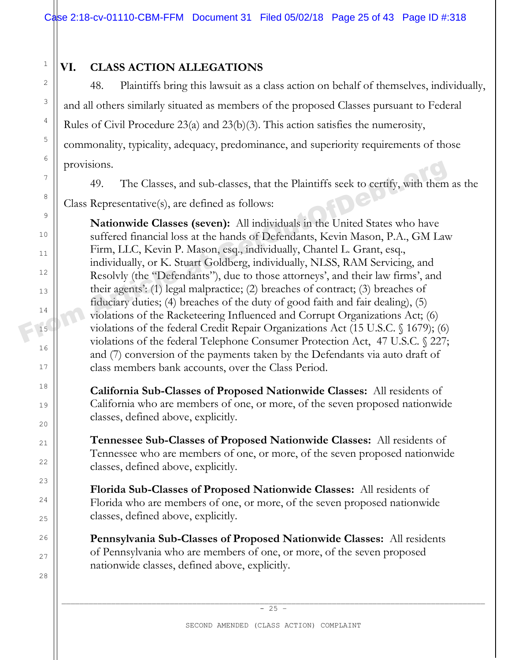1

2

3

4

5

6

7

8

9

10

11

12

13

14

15

16

17

18

19

20

21

22

 $23$ 

24

25

26

27

28

# **VI. CLASS ACTION ALLEGATIONS**

48. Plaintiffs bring this lawsuit as a class action on behalf of themselves, individually, and all others similarly situated as members of the proposed Classes pursuant to Federal Rules of Civil Procedure 23(a) and 23(b)(3). This action satisfies the numerosity, commonality, typicality, adequacy, predominance, and superiority requirements of those provisions.

49. The Classes, and sub-classes, that the Plaintiffs seek to certify, with them as the Class Representative(s), are defined as follows:

**Nationwide Classes (seven):** All individuals in the United States who have suffered financial loss at the hands of Defendants, Kevin Mason, P.A., GM Law Firm, LLC, Kevin P. Mason, esq., individually, Chantel L. Grant, esq., individually, or K. Stuart Goldberg, individually, NLSS, RAM Servicing, and Resolvly (the "Defendants"), due to those attorneys', and their law firms', and their agents': (1) legal malpractice; (2) breaches of contract; (3) breaches of fiduciary duties; (4) breaches of the duty of good faith and fair dealing), (5) violations of the Racketeering Influenced and Corrupt Organizations Act; (6) violations of the federal Credit Repair Organizations Act (15 U.S.C. § 1679); (6) violations of the federal Telephone Consumer Protection Act, 47 U.S.C. § 227; and (7) conversion of the payments taken by the Defendants via auto draft of class members bank accounts, over the Class Period. Frowisions.<br>
49. The Classes, and sub-classes, that the Plaintiffs seek to certify, with them<br>
<sup>8</sup><br>
Class Representative(s), are defined as follows:<br> **Nationwide Classes (seven):** All individuals in the United States who h

> **California Sub-Classes of Proposed Nationwide Classes:** All residents of California who are members of one, or more, of the seven proposed nationwide classes, defined above, explicitly.

> **Tennessee Sub-Classes of Proposed Nationwide Classes:** All residents of Tennessee who are members of one, or more, of the seven proposed nationwide classes, defined above, explicitly.

**Florida Sub-Classes of Proposed Nationwide Classes:** All residents of Florida who are members of one, or more, of the seven proposed nationwide classes, defined above, explicitly.

**Pennsylvania Sub-Classes of Proposed Nationwide Classes:** All residents of Pennsylvania who are members of one, or more, of the seven proposed nationwide classes, defined above, explicitly.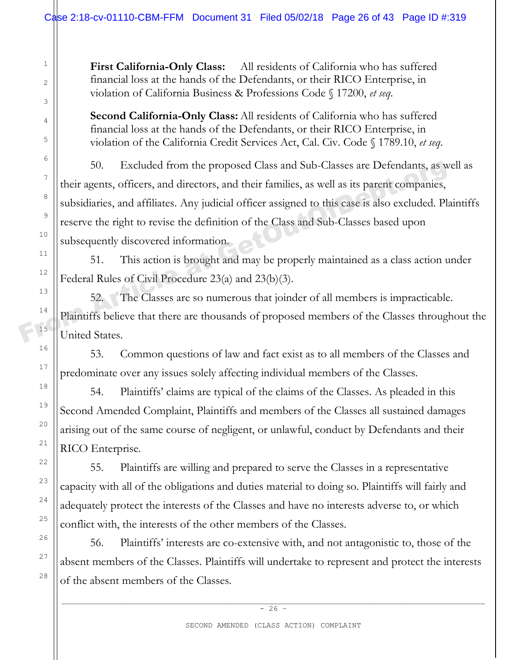**First California-Only Class:** All residents of California who has suffered financial loss at the hands of the Defendants, or their RICO Enterprise, in violation of California Business & Professions Code § 17200, *et seq*.

**Second California-Only Class:** All residents of California who has suffered financial loss at the hands of the Defendants, or their RICO Enterprise, in violation of the California Credit Services Act, Cal. Civ. Code § 1789.10, *et seq*.

50. Excluded from the proposed Class and Sub-Classes are Defendants, as well as their agents, officers, and directors, and their families, as well as its parent companies, subsidiaries, and affiliates. Any judicial officer assigned to this case is also excluded. Plaintiffs reserve the right to revise the definition of the Class and Sub-Classes based upon subsequently discovered information. <sup>50</sup>. Excluded from the proposed Class and Sub-Classes are Defendants, as well their agents, officers, and directors, and their families, as well as its parent companies, subsidiaries, and affiliates. Any judicial officer

51. This action is brought and may be properly maintained as a class action under Federal Rules of Civil Procedure 23(a) and 23(b)(3).

52. The Classes are so numerous that joinder of all members is impracticable. Plaintiffs believe that there are thousands of proposed members of the Classes throughout the United States.

53. Common questions of law and fact exist as to all members of the Classes and predominate over any issues solely affecting individual members of the Classes.

54. Plaintiffs' claims are typical of the claims of the Classes. As pleaded in this Second Amended Complaint, Plaintiffs and members of the Classes all sustained damages arising out of the same course of negligent, or unlawful, conduct by Defendants and their RICO Enterprise.

55. Plaintiffs are willing and prepared to serve the Classes in a representative capacity with all of the obligations and duties material to doing so. Plaintiffs will fairly and adequately protect the interests of the Classes and have no interests adverse to, or which conflict with, the interests of the other members of the Classes.

56. Plaintiffs' interests are co-extensive with, and not antagonistic to, those of the absent members of the Classes. Plaintiffs will undertake to represent and protect the interests of the absent members of the Classes.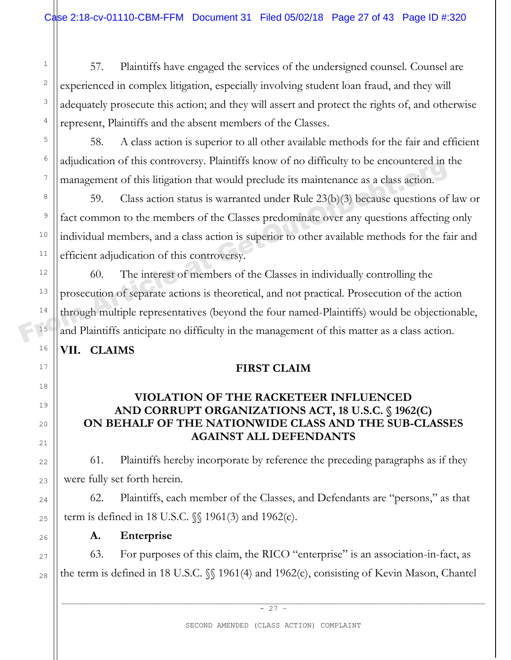57. Plaintiffs have engaged the services of the undersigned counsel. Counsel are experienced in complex litigation, especially involving student loan fraud, and they will adequately prosecute this action; and they will assert and protect the rights of, and otherwise represent, Plaintiffs and the absent members of the Classes.

58. A class action is superior to all other available methods for the fair and efficient adjudication of this controversy. Plaintiffs know of no difficulty to be encountered in the management of this litigation that would preclude its maintenance as a class action.

59. Class action status is warranted under Rule 23(b)(3) because questions of law or fact common to the members of the Classes predominate over any questions affecting only individual members, and a class action is superior to other available methods for the fair and efficient adjudication of this controversy.

60. The interest of members of the Classes in individually controlling the prosecution of separate actions is theoretical, and not practical. Prosecution of the action through multiple representatives (beyond the four named-Plaintiffs) would be objectionable, and Plaintiffs anticipate no difficulty in the management of this matter as a class action. From Article at GetTina at Southern at the Mass School of the Same School of the Same School of the Mass School of the Classes predominate over any questions of fact common to the members of the Classes predominate over an

# **VII. CLAIMS**

1

2

3

4

5

6

7

8

9

10

11

12

13

14

15

16

17

18

19

20

21

22

23

24

25

26

27

28

# **FIRST CLAIM**

# **VIOLATION OF THE RACKETEER INFLUENCED AND CORRUPT ORGANIZATIONS ACT, 18 U.S.C. § 1962(C) ON BEHALF OF THE NATIONWIDE CLASS AND THE SUB-CLASSES AGAINST ALL DEFENDANTS**

61. Plaintiffs hereby incorporate by reference the preceding paragraphs as if they were fully set forth herein.

62. Plaintiffs, each member of the Classes, and Defendants are "persons," as that term is defined in 18 U.S.C. §§ 1961(3) and 1962(c).

**A. Enterprise** 

63. For purposes of this claim, the RICO "enterprise" is an association-in-fact, as the term is defined in 18 U.S.C. §§ 1961(4) and 1962(c), consisting of Kevin Mason, Chantel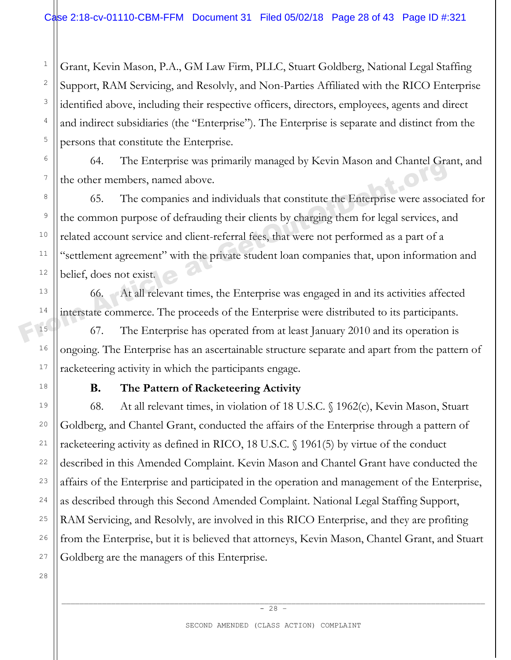3 5 Grant, Kevin Mason, P.A., GM Law Firm, PLLC, Stuart Goldberg, National Legal Staffing Support, RAM Servicing, and Resolvly, and Non-Parties Affiliated with the RICO Enterprise identified above, including their respective officers, directors, employees, agents and direct and indirect subsidiaries (the "Enterprise"). The Enterprise is separate and distinct from the persons that constitute the Enterprise.

64. The Enterprise was primarily managed by Kevin Mason and Chantel Grant, and the other members, named above.

65. The companies and individuals that constitute the Enterprise were associated for the common purpose of defrauding their clients by charging them for legal services, and related account service and client-referral fees, that were not performed as a part of a "settlement agreement" with the private student loan companies that, upon information and belief, does not exist. The other members, named above.<br>
<sup>04.</sup> The Enterprise was primarily inanaged by Nevill Mason and Chanter Grandel Correlation of the other members, named above.<br>
<sup>8</sup><br>
<sup>10</sup> detecommon purpose of defrauding their clients by c

66. At all relevant times, the Enterprise was engaged in and its activities affected interstate commerce. The proceeds of the Enterprise were distributed to its participants.

67. The Enterprise has operated from at least January 2010 and its operation is ongoing. The Enterprise has an ascertainable structure separate and apart from the pattern of racketeering activity in which the participants engage.

1

2

4

6

7

8

9

10

11

12

13

14

15

16

17

18

19

20

21

22

23

24

25

26

27

### **B. The Pattern of Racketeering Activity**

68. At all relevant times, in violation of 18 U.S.C. § 1962(c), Kevin Mason, Stuart Goldberg, and Chantel Grant, conducted the affairs of the Enterprise through a pattern of racketeering activity as defined in RICO, 18 U.S.C. § 1961(5) by virtue of the conduct described in this Amended Complaint. Kevin Mason and Chantel Grant have conducted the affairs of the Enterprise and participated in the operation and management of the Enterprise, as described through this Second Amended Complaint. National Legal Staffing Support, RAM Servicing, and Resolvly, are involved in this RICO Enterprise, and they are profiting from the Enterprise, but it is believed that attorneys, Kevin Mason, Chantel Grant, and Stuart Goldberg are the managers of this Enterprise.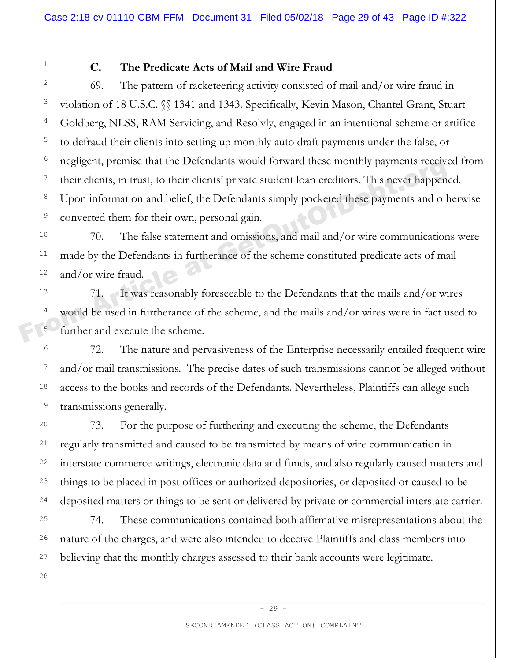### **C. The Predicate Acts of Mail and Wire Fraud**

69. The pattern of racketeering activity consisted of mail and/or wire fraud in violation of 18 U.S.C. §§ 1341 and 1343. Specifically, Kevin Mason, Chantel Grant, Stuart Goldberg, NLSS, RAM Servicing, and Resolvly, engaged in an intentional scheme or artifice to defraud their clients into setting up monthly auto draft payments under the false, or negligent, premise that the Defendants would forward these monthly payments received from their clients, in trust, to their clients' private student loan creditors. This never happened. Upon information and belief, the Defendants simply pocketed these payments and otherwise converted them for their own, personal gain. From Article at the Defendants would forward these informally payments received<br>their clients, in trust, to their clients' private student loan creditors. This never happen<br>a<br>point information and belief, the Defendants si

70. The false statement and omissions, and mail and/or wire communications were made by the Defendants in furtherance of the scheme constituted predicate acts of mail and/or wire fraud.

71. It was reasonably foreseeable to the Defendants that the mails and/or wires would be used in furtherance of the scheme, and the mails and/or wires were in fact used to further and execute the scheme.

72. The nature and pervasiveness of the Enterprise necessarily entailed frequent wire and/or mail transmissions. The precise dates of such transmissions cannot be alleged without access to the books and records of the Defendants. Nevertheless, Plaintiffs can allege such transmissions generally.

73. For the purpose of furthering and executing the scheme, the Defendants regularly transmitted and caused to be transmitted by means of wire communication in interstate commerce writings, electronic data and funds, and also regularly caused matters and things to be placed in post offices or authorized depositories, or deposited or caused to be deposited matters or things to be sent or delivered by private or commercial interstate carrier.

74. These communications contained both affirmative misrepresentations about the nature of the charges, and were also intended to deceive Plaintiffs and class members into believing that the monthly charges assessed to their bank accounts were legitimate.

28

1

2

3

4

5

6

7

8

9

10

11

12

13

14

15

16

17

18

19

20

21

22

23

24

25

26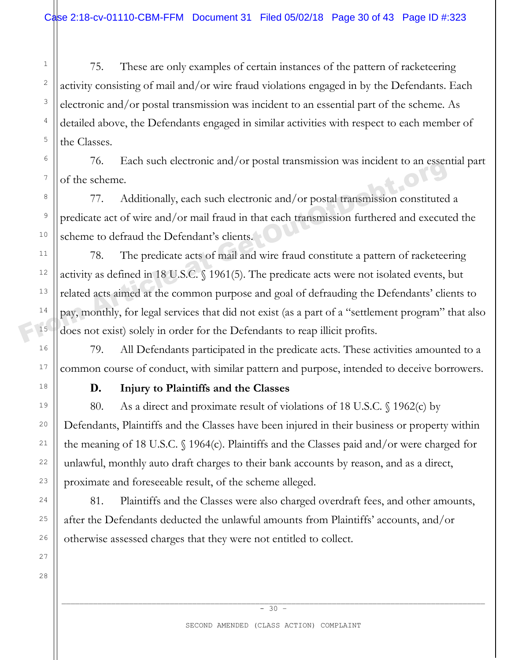75. These are only examples of certain instances of the pattern of racketeering activity consisting of mail and/or wire fraud violations engaged in by the Defendants. Each electronic and/or postal transmission was incident to an essential part of the scheme. As detailed above, the Defendants engaged in similar activities with respect to each member of the Classes.

76. Each such electronic and/or postal transmission was incident to an essential part of the scheme.

77. Additionally, each such electronic and/or postal transmission constituted a predicate act of wire and/or mail fraud in that each transmission furthered and executed the scheme to defraud the Defendant's clients.

78. The predicate acts of mail and wire fraud constitute a pattern of racketeering activity as defined in 18 U.S.C. § 1961(5). The predicate acts were not isolated events, but related acts aimed at the common purpose and goal of defrauding the Defendants' clients to pay, monthly, for legal services that did not exist (as a part of a "settlement program" that also does not exist) solely in order for the Defendants to reap illicit profits. From Article at Scheme Controllers and Scheme Article at Get of the scheme.<br>
The Article and Article and Article and Article and Scheme to defraud the Defendant's clients.<br>
The predicate act of wire and/or mail fraud in th

79. All Defendants participated in the predicate acts. These activities amounted to a common course of conduct, with similar pattern and purpose, intended to deceive borrowers.

1

2

3

4

5

6

7

8

9

10

11

12

13

14

15

16

17

18

19

20

21

22

23

24

25

26

27

28

# **D. Injury to Plaintiffs and the Classes**

80. As a direct and proximate result of violations of 18 U.S.C. § 1962(c) by Defendants, Plaintiffs and the Classes have been injured in their business or property within the meaning of 18 U.S.C. § 1964(c). Plaintiffs and the Classes paid and/or were charged for unlawful, monthly auto draft charges to their bank accounts by reason, and as a direct, proximate and foreseeable result, of the scheme alleged.

81. Plaintiffs and the Classes were also charged overdraft fees, and other amounts, after the Defendants deducted the unlawful amounts from Plaintiffs' accounts, and/or otherwise assessed charges that they were not entitled to collect.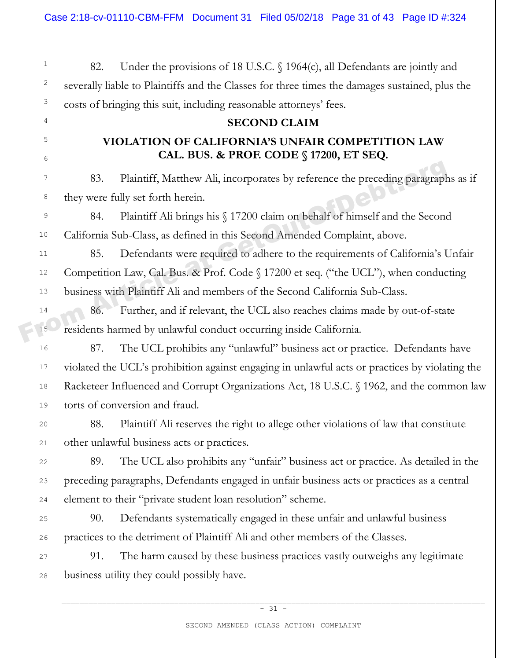1

2

3

4

5

6

7

8

9

10

11

12

13

14

15

16

17

18

19

 $20$ 

21

22

23

24

25

26

27

28

82. Under the provisions of 18 U.S.C. § 1964(c), all Defendants are jointly and severally liable to Plaintiffs and the Classes for three times the damages sustained, plus the costs of bringing this suit, including reasonable attorneys' fees.

#### **SECOND CLAIM**

# **VIOLATION OF CALIFORNIA'S UNFAIR COMPETITION LAW CAL. BUS. & PROF. CODE § 17200, ET SEQ.**

83. Plaintiff, Matthew Ali, incorporates by reference the preceding paragraphs as if they were fully set forth herein.

84. Plaintiff Ali brings his § 17200 claim on behalf of himself and the Second California Sub-Class, as defined in this Second Amended Complaint, above.

85. Defendants were required to adhere to the requirements of California's Unfair Competition Law, Cal. Bus. & Prof. Code § 17200 et seq. ("the UCL"), when conducting business with Plaintiff Ali and members of the Second California Sub-Class. From Basic Collisions and if relevant, the UCL also reaches claims made by out-of-state<br>
From Article at GetOutor at GetOutor at GetOutor at GetOutor at GetOutor at GetOutor at The Second Article and the Second California

86. Further, and if relevant, the UCL also reaches claims made by out-of-state residents harmed by unlawful conduct occurring inside California.

87. The UCL prohibits any "unlawful" business act or practice. Defendants have violated the UCL's prohibition against engaging in unlawful acts or practices by violating the Racketeer Influenced and Corrupt Organizations Act, 18 U.S.C. § 1962, and the common law torts of conversion and fraud.

88. Plaintiff Ali reserves the right to allege other violations of law that constitute other unlawful business acts or practices.

89. The UCL also prohibits any "unfair" business act or practice. As detailed in the preceding paragraphs, Defendants engaged in unfair business acts or practices as a central element to their "private student loan resolution" scheme.

90. Defendants systematically engaged in these unfair and unlawful business practices to the detriment of Plaintiff Ali and other members of the Classes.

91. The harm caused by these business practices vastly outweighs any legitimate business utility they could possibly have.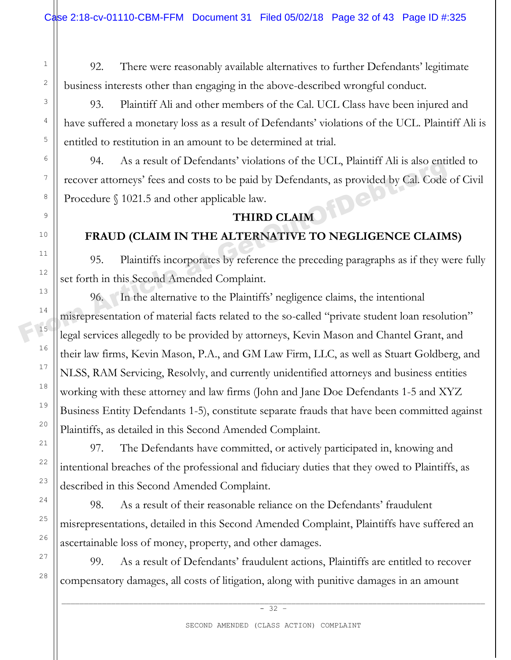92. There were reasonably available alternatives to further Defendants' legitimate business interests other than engaging in the above-described wrongful conduct.

93. Plaintiff Ali and other members of the Cal. UCL Class have been injured and have suffered a monetary loss as a result of Defendants' violations of the UCL. Plaintiff Ali is entitled to restitution in an amount to be determined at trial.

94. As a result of Defendants' violations of the UCL, Plaintiff Ali is also entitled to recover attorneys' fees and costs to be paid by Defendants, as provided by Cal. Code of Civil Procedure § 1021.5 and other applicable law.

# **THIRD CLAIM**

# **FRAUD (CLAIM IN THE ALTERNATIVE TO NEGLIGENCE CLAIMS)**

95. Plaintiffs incorporates by reference the preceding paragraphs as if they were fully set forth in this Second Amended Complaint.

96. In the alternative to the Plaintiffs' negligence claims, the intentional misrepresentation of material facts related to the so-called "private student loan resolution" legal services allegedly to be provided by attorneys, Kevin Mason and Chantel Grant, and their law firms, Kevin Mason, P.A., and GM Law Firm, LLC, as well as Stuart Goldberg, and NLSS, RAM Servicing, Resolvly, and currently unidentified attorneys and business entities working with these attorney and law firms (John and Jane Doe Defendants 1-5 and XYZ Business Entity Defendants 1-5), constitute separate frauds that have been committed against Plaintiffs, as detailed in this Second Amended Complaint. From Article at Get at Get at Get at Get at Get at Get at Get at Get at Get at Get at Get at Get and other applicable law.<br>
FRAUD (CLAIM IN THE ALTERNATIVE TO NEGLIGENCE CLAIM<br>
11<br>
12<br>
12<br>
12<br>
12<br>
12<br>
14<br>
14<br>
14<br>
14<br>
15<br>
1

97. The Defendants have committed, or actively participated in, knowing and intentional breaches of the professional and fiduciary duties that they owed to Plaintiffs, as described in this Second Amended Complaint.

98. As a result of their reasonable reliance on the Defendants' fraudulent misrepresentations, detailed in this Second Amended Complaint, Plaintiffs have suffered an ascertainable loss of money, property, and other damages.

99. As a result of Defendants' fraudulent actions, Plaintiffs are entitled to recover compensatory damages, all costs of litigation, along with punitive damages in an amount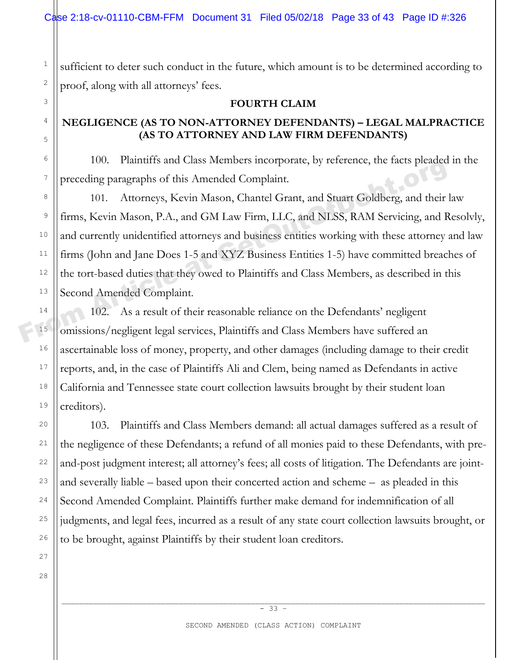sufficient to deter such conduct in the future, which amount is to be determined according to proof, along with all attorneys' fees.

#### **FOURTH CLAIM**

### **NEGLIGENCE (AS TO NON-ATTORNEY DEFENDANTS) – LEGAL MALPRACTICE (AS TO ATTORNEY AND LAW FIRM DEFENDANTS)**

100. Plaintiffs and Class Members incorporate, by reference, the facts pleaded in the preceding paragraphs of this Amended Complaint.

101. Attorneys, Kevin Mason, Chantel Grant, and Stuart Goldberg, and their law firms, Kevin Mason, P.A., and GM Law Firm, LLC, and NLSS, RAM Servicing, and Resolvly, and currently unidentified attorneys and business entities working with these attorney and law firms (John and Jane Does 1-5 and XYZ Business Entities 1-5) have committed breaches of the tort-based duties that they owed to Plaintiffs and Class Members, as described in this Second Amended Complaint. From Article at Gas Members incorporate, by interest, the rates preaded<br>
<sup>7</sup><br>
From Article paragraphs of this Amended Complaint.<br>
<sup>8</sup><br> **Erms, Kevin Mason, P.A., and GM Law Firm, LLC, and NLSS, RAM Servicing, and B<br>
and cur** 

102. As a result of their reasonable reliance on the Defendants' negligent omissions/negligent legal services, Plaintiffs and Class Members have suffered an ascertainable loss of money, property, and other damages (including damage to their credit reports, and, in the case of Plaintiffs Ali and Clem, being named as Defendants in active California and Tennessee state court collection lawsuits brought by their student loan creditors).

103. Plaintiffs and Class Members demand: all actual damages suffered as a result of the negligence of these Defendants; a refund of all monies paid to these Defendants, with preand-post judgment interest; all attorney's fees; all costs of litigation. The Defendants are jointand severally liable – based upon their concerted action and scheme – as pleaded in this Second Amended Complaint. Plaintiffs further make demand for indemnification of all judgments, and legal fees, incurred as a result of any state court collection lawsuits brought, or to be brought, against Plaintiffs by their student loan creditors.

1

2

3

4

5

6

7

8

9

10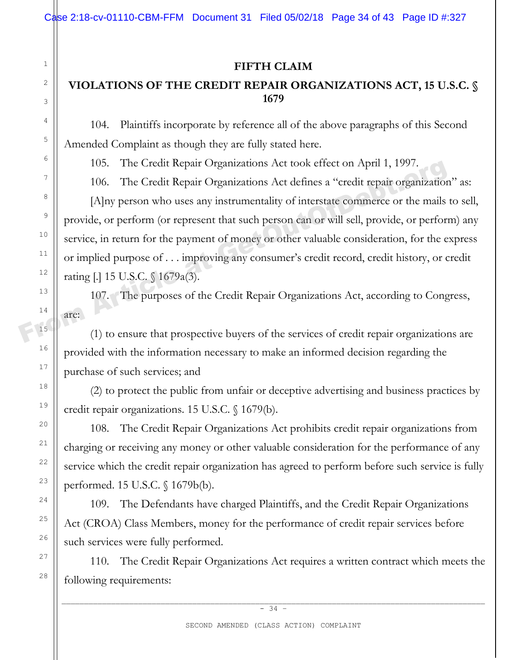### **FIFTH CLAIM**

# **VIOLATIONS OF THE CREDIT REPAIR ORGANIZATIONS ACT, 15 U.S.C. § 1679**

104. Plaintiffs incorporate by reference all of the above paragraphs of this Second Amended Complaint as though they are fully stated here.

105. The Credit Repair Organizations Act took effect on April 1, 1997.

106. The Credit Repair Organizations Act defines a "credit repair organization" as: [A]ny person who uses any instrumentality of interstate commerce or the mails to sell, provide, or perform (or represent that such person can or will sell, provide, or perform) any service, in return for the payment of money or other valuable consideration, for the express or implied purpose of . . . improving any consumer's credit record, credit history, or credit rating [.] 15 U.S.C. § 1679a(3). <sup>10</sup><br>
<sup>105</sup>. The Credit Repair Organizations Act took effect on April 1, 1997.<br>
<sup>7</sup><br>
<sup>106</sup>. The Credit Repair Organizations Act defines a "credit repair organization"<br>
[Alny person who uses any instrumentality of intersta

107. The purposes of the Credit Repair Organizations Act, according to Congress, are:

(1) to ensure that prospective buyers of the services of credit repair organizations are provided with the information necessary to make an informed decision regarding the purchase of such services; and

(2) to protect the public from unfair or deceptive advertising and business practices by credit repair organizations. 15 U.S.C. § 1679(b).

108. The Credit Repair Organizations Act prohibits credit repair organizations from charging or receiving any money or other valuable consideration for the performance of any service which the credit repair organization has agreed to perform before such service is fully performed. 15 U.S.C. § 1679b(b).

109. The Defendants have charged Plaintiffs, and the Credit Repair Organizations Act (CROA) Class Members, money for the performance of credit repair services before such services were fully performed.

110. The Credit Repair Organizations Act requires a written contract which meets the following requirements: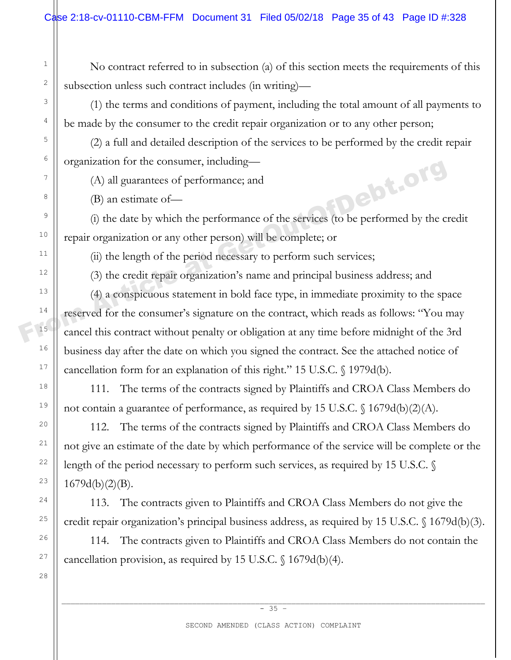No contract referred to in subsection (a) of this section meets the requirements of this subsection unless such contract includes (in writing)—

(1) the terms and conditions of payment, including the total amount of all payments to be made by the consumer to the credit repair organization or to any other person;

(2) a full and detailed description of the services to be performed by the credit repair organization for the consumer, including—

(A) all guarantees of performance; and

(B) an estimate of—

(i) the date by which the performance of the services (to be performed by the credit repair organization or any other person) will be complete; or

(ii) the length of the period necessary to perform such services;

(3) the credit repair organization's name and principal business address; and

(4) a conspicuous statement in bold face type, in immediate proximity to the space reserved for the consumer's signature on the contract, which reads as follows: "You may cancel this contract without penalty or obligation at any time before midnight of the 3rd business day after the date on which you signed the contract. See the attached notice of cancellation form for an explanation of this right." 15 U.S.C. § 1979d(b). From Article at GP and the consumer, including—<br>
(A) all guarantees of performance; and<br>
(B) an estimate of—<br>
(i) the date by which the performance of the services (to be performed by the corporation or any other person)

111. The terms of the contracts signed by Plaintiffs and CROA Class Members do not contain a guarantee of performance, as required by 15 U.S.C. § 1679d(b)(2)(A).

112. The terms of the contracts signed by Plaintiffs and CROA Class Members do not give an estimate of the date by which performance of the service will be complete or the length of the period necessary to perform such services, as required by 15 U.S.C. §  $1679d(b)(2)(B)$ .

113. The contracts given to Plaintiffs and CROA Class Members do not give the credit repair organization's principal business address, as required by 15 U.S.C. § 1679d(b)(3).

114. The contracts given to Plaintiffs and CROA Class Members do not contain the cancellation provision, as required by 15 U.S.C. § 1679d(b)(4).

1

2

3

4

5

6

7

8

9

10

11

12

13

14

15

16

17

18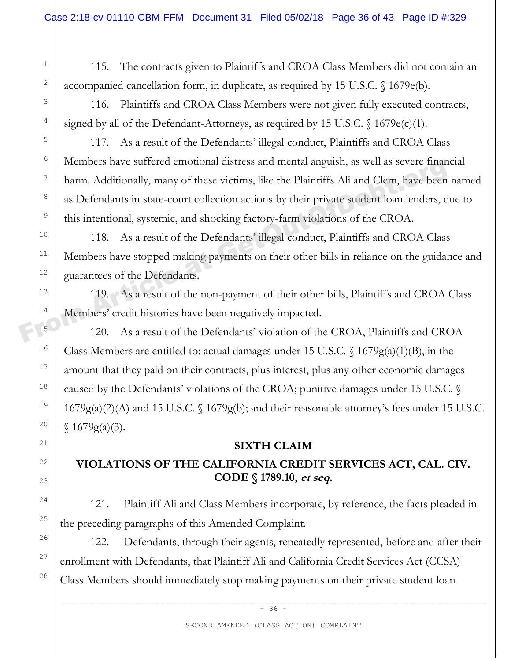115. The contracts given to Plaintiffs and CROA Class Members did not contain an accompanied cancellation form, in duplicate, as required by 15 U.S.C. § 1679e(b).

116. Plaintiffs and CROA Class Members were not given fully executed contracts, signed by all of the Defendant-Attorneys, as required by 15 U.S.C.  $\{(1679e(c)(1))\}$ .

117. As a result of the Defendants' illegal conduct, Plaintiffs and CROA Class Members have suffered emotional distress and mental anguish, as well as severe financial harm. Additionally, many of these victims, like the Plaintiffs Ali and Clem, have been named as Defendants in state-court collection actions by their private student loan lenders, due to this intentional, systemic, and shocking factory-farm violations of the CROA. Thermoers have surfered emotional distress and mental anguish, as well as severe minimidial harm. Additionally, many of these victims, like the Plaintiffs Ali and Clem, have been as Defendants in state-court collection act

118. As a result of the Defendants' illegal conduct, Plaintiffs and CROA Class Members have stopped making payments on their other bills in reliance on the guidance and guarantees of the Defendants.

119. As a result of the non-payment of their other bills, Plaintiffs and CROA Class Members' credit histories have been negatively impacted.

120. As a result of the Defendants' violation of the CROA, Plaintiffs and CROA Class Members are entitled to: actual damages under 15 U.S.C.  $\frac{1679g(a)(1)(B)}{n}$ , in the amount that they paid on their contracts, plus interest, plus any other economic damages caused by the Defendants' violations of the CROA; punitive damages under 15 U.S.C. § 1679g(a)(2)(A) and 15 U.S.C. § 1679g(b); and their reasonable attorney's fees under 15 U.S.C.  $$1679g(a)(3).$ 

### **SIXTH CLAIM**

# **VIOLATIONS OF THE CALIFORNIA CREDIT SERVICES ACT, CAL. CIV. CODE § 1789.10, et seq.**

121. Plaintiff Ali and Class Members incorporate, by reference, the facts pleaded in the preceding paragraphs of this Amended Complaint.

122. Defendants, through their agents, repeatedly represented, before and after their enrollment with Defendants, that Plaintiff Ali and California Credit Services Act (CCSA) Class Members should immediately stop making payments on their private student loan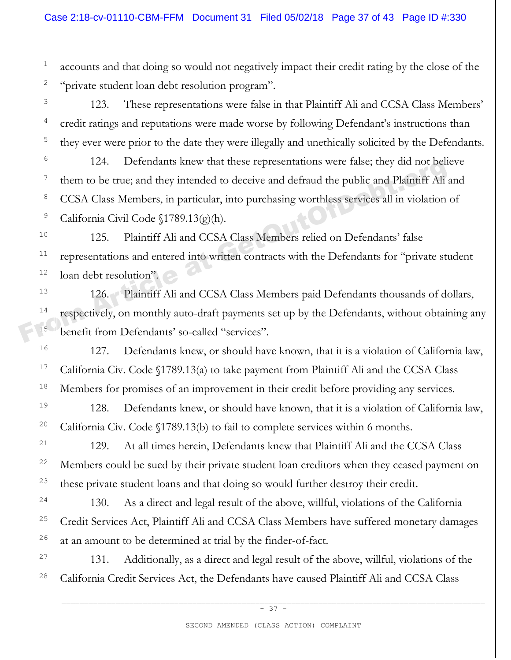1

2

3

4

5

6

7

8

9

10

11

12

13

14

15

16

17

18

19

20

21

22

23

24

25

26

27

28

accounts and that doing so would not negatively impact their credit rating by the close of the "private student loan debt resolution program".

123. These representations were false in that Plaintiff Ali and CCSA Class Members' credit ratings and reputations were made worse by following Defendant's instructions than they ever were prior to the date they were illegally and unethically solicited by the Defendants.

124. Defendants knew that these representations were false; they did not believe them to be true; and they intended to deceive and defraud the public and Plaintiff Ali and CCSA Class Members, in particular, into purchasing worthless services all in violation of California Civil Code §1789.13(g)(h). Them to be true; and they intended to deceive and defraud the public and Plaintiff Ali s<br>
<sup>7</sup><br>
CCSA Class Members, in particular, into purchasing worthless services all in violation<br>
CCSA Class Members, in particular, into

125. Plaintiff Ali and CCSA Class Members relied on Defendants' false representations and entered into written contracts with the Defendants for "private student loan debt resolution".

126. Plaintiff Ali and CCSA Class Members paid Defendants thousands of dollars, respectively, on monthly auto-draft payments set up by the Defendants, without obtaining any benefit from Defendants' so-called "services".

127. Defendants knew, or should have known, that it is a violation of California law, California Civ. Code §1789.13(a) to take payment from Plaintiff Ali and the CCSA Class Members for promises of an improvement in their credit before providing any services.

128. Defendants knew, or should have known, that it is a violation of California law, California Civ. Code §1789.13(b) to fail to complete services within 6 months.

129. At all times herein, Defendants knew that Plaintiff Ali and the CCSA Class Members could be sued by their private student loan creditors when they ceased payment on these private student loans and that doing so would further destroy their credit.

130. As a direct and legal result of the above, willful, violations of the California Credit Services Act, Plaintiff Ali and CCSA Class Members have suffered monetary damages at an amount to be determined at trial by the finder-of-fact.

131. Additionally, as a direct and legal result of the above, willful, violations of the California Credit Services Act, the Defendants have caused Plaintiff Ali and CCSA Class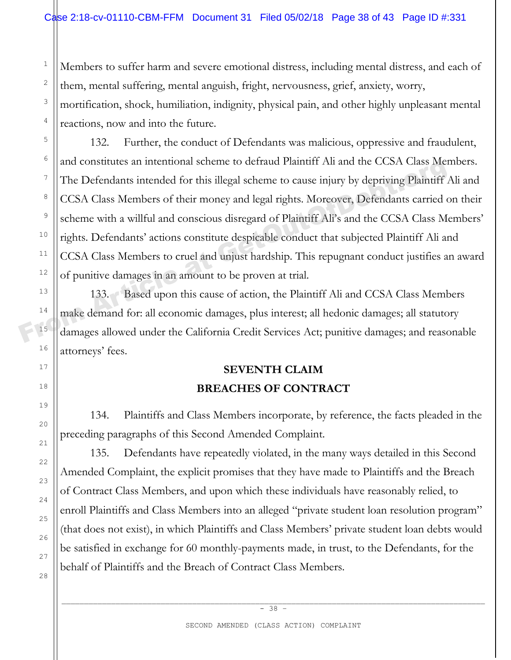Members to suffer harm and severe emotional distress, including mental distress, and each of them, mental suffering, mental anguish, fright, nervousness, grief, anxiety, worry, mortification, shock, humiliation, indignity, physical pain, and other highly unpleasant mental reactions, now and into the future.

132. Further, the conduct of Defendants was malicious, oppressive and fraudulent, and constitutes an intentional scheme to defraud Plaintiff Ali and the CCSA Class Members. The Defendants intended for this illegal scheme to cause injury by depriving Plaintiff Ali and CCSA Class Members of their money and legal rights. Moreover, Defendants carried on their scheme with a willful and conscious disregard of Plaintiff Ali's and the CCSA Class Members' rights. Defendants' actions constitute despicable conduct that subjected Plaintiff Ali and CCSA Class Members to cruel and unjust hardship. This repugnant conduct justifies an award of punitive damages in an amount to be proven at trial. The Defendants intentional scheme to derratid Plaintiff Ali and the CCSA Class Mem<br>
The Defendants intended for this illegal scheme to cause injury by depriving Plaintiff.<br>
CCSA Class Members of their money and legal right

133. Based upon this cause of action, the Plaintiff Ali and CCSA Class Members make demand for: all economic damages, plus interest; all hedonic damages; all statutory damages allowed under the California Credit Services Act; punitive damages; and reasonable attorneys' fees.

# **SEVENTH CLAIM BREACHES OF CONTRACT**

134. Plaintiffs and Class Members incorporate, by reference, the facts pleaded in the preceding paragraphs of this Second Amended Complaint.

135. Defendants have repeatedly violated, in the many ways detailed in this Second Amended Complaint, the explicit promises that they have made to Plaintiffs and the Breach of Contract Class Members, and upon which these individuals have reasonably relied, to enroll Plaintiffs and Class Members into an alleged "private student loan resolution program" (that does not exist), in which Plaintiffs and Class Members' private student loan debts would be satisfied in exchange for 60 monthly-payments made, in trust, to the Defendants, for the behalf of Plaintiffs and the Breach of Contract Class Members.

1

2

3

4

5

6

7

8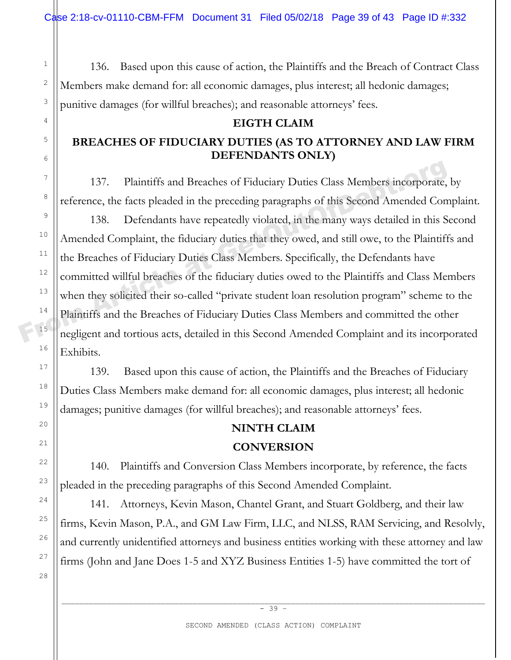136. Based upon this cause of action, the Plaintiffs and the Breach of Contract Class Members make demand for: all economic damages, plus interest; all hedonic damages; punitive damages (for willful breaches); and reasonable attorneys' fees.

#### **EIGTH CLAIM**

# **BREACHES OF FIDUCIARY DUTIES (AS TO ATTORNEY AND LAW FIRM DEFENDANTS ONLY)**

137. Plaintiffs and Breaches of Fiduciary Duties Class Members incorporate, by reference, the facts pleaded in the preceding paragraphs of this Second Amended Complaint.

138. Defendants have repeatedly violated, in the many ways detailed in this Second Amended Complaint, the fiduciary duties that they owed, and still owe, to the Plaintiffs and the Breaches of Fiduciary Duties Class Members. Specifically, the Defendants have committed willful breaches of the fiduciary duties owed to the Plaintiffs and Class Members when they solicited their so-called "private student loan resolution program" scheme to the Plaintiffs and the Breaches of Fiduciary Duties Class Members and committed the other negligent and tortious acts, detailed in this Second Amended Complaint and its incorporated Exhibits. <sup>7</sup><br>
<sup>8</sup><br>
<br> **Exercediate at Get at Breaches of Fiduciary Duties Class Members incorporate,<br>
<sup>8</sup><br>
<br>
<b>Exercediate at Article at the preceding paragraphs of this Second Amended Com<br>
138. Defendants have repeatedly violated, i** 

139. Based upon this cause of action, the Plaintiffs and the Breaches of Fiduciary Duties Class Members make demand for: all economic damages, plus interest; all hedonic damages; punitive damages (for willful breaches); and reasonable attorneys' fees.

# **NINTH CLAIM**

### **CONVERSION**

140. Plaintiffs and Conversion Class Members incorporate, by reference, the facts pleaded in the preceding paragraphs of this Second Amended Complaint.

141. Attorneys, Kevin Mason, Chantel Grant, and Stuart Goldberg, and their law firms, Kevin Mason, P.A., and GM Law Firm, LLC, and NLSS, RAM Servicing, and Resolvly, and currently unidentified attorneys and business entities working with these attorney and law firms (John and Jane Does 1-5 and XYZ Business Entities 1-5) have committed the tort of

1

2

3

4

5

6

7

8

9

10

11

12

13

14

16

17

18

19

20

21

22

23

24

25

26

27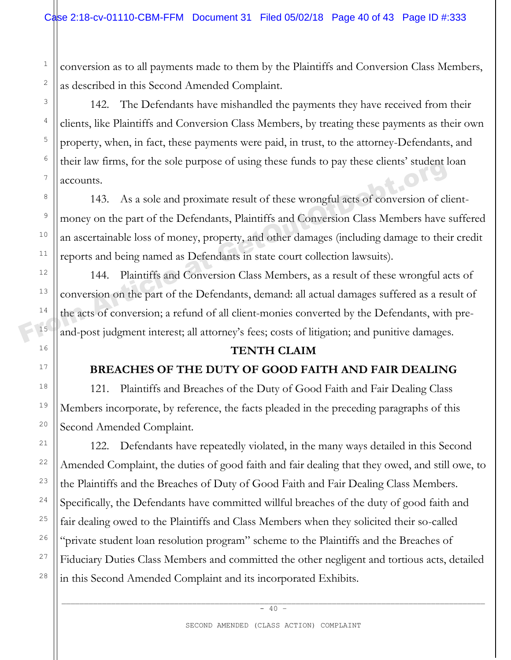conversion as to all payments made to them by the Plaintiffs and Conversion Class Members, as described in this Second Amended Complaint.

142. The Defendants have mishandled the payments they have received from their clients, like Plaintiffs and Conversion Class Members, by treating these payments as their own property, when, in fact, these payments were paid, in trust, to the attorney-Defendants, and their law firms, for the sole purpose of using these funds to pay these clients' student loan accounts.

143. As a sole and proximate result of these wrongful acts of conversion of clientmoney on the part of the Defendants, Plaintiffs and Conversion Class Members have suffered an ascertainable loss of money, property, and other damages (including damage to their credit reports and being named as Defendants in state court collection lawsuits). Their raw times, for the sole purpose of using these tunds to pay these chents student at accounts.<br>
143. As a sole and proximate result of these wrongful acts of conversion of class money on the part of the Defendants, Pl

144. Plaintiffs and Conversion Class Members, as a result of these wrongful acts of conversion on the part of the Defendants, demand: all actual damages suffered as a result of the acts of conversion; a refund of all client-monies converted by the Defendants, with preand-post judgment interest; all attorney's fees; costs of litigation; and punitive damages.

### **TENTH CLAIM**

# **BREACHES OF THE DUTY OF GOOD FAITH AND FAIR DEALING**

121. Plaintiffs and Breaches of the Duty of Good Faith and Fair Dealing Class Members incorporate, by reference, the facts pleaded in the preceding paragraphs of this Second Amended Complaint.

122. Defendants have repeatedly violated, in the many ways detailed in this Second Amended Complaint, the duties of good faith and fair dealing that they owed, and still owe, to the Plaintiffs and the Breaches of Duty of Good Faith and Fair Dealing Class Members. Specifically, the Defendants have committed willful breaches of the duty of good faith and fair dealing owed to the Plaintiffs and Class Members when they solicited their so-called "private student loan resolution program" scheme to the Plaintiffs and the Breaches of Fiduciary Duties Class Members and committed the other negligent and tortious acts, detailed in this Second Amended Complaint and its incorporated Exhibits.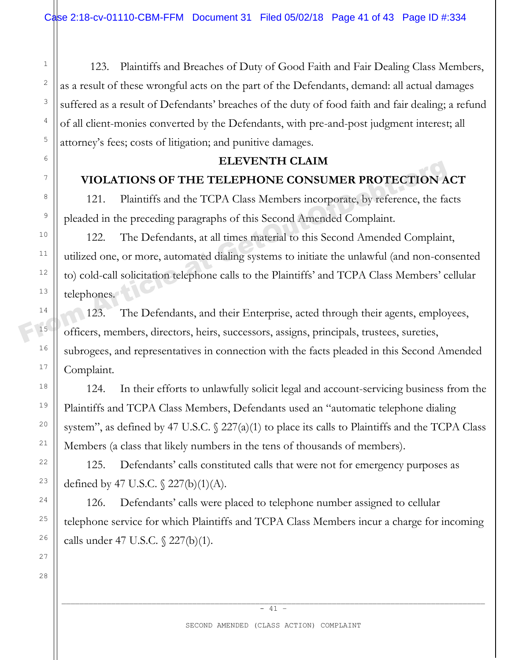123. Plaintiffs and Breaches of Duty of Good Faith and Fair Dealing Class Members, as a result of these wrongful acts on the part of the Defendants, demand: all actual damages suffered as a result of Defendants' breaches of the duty of food faith and fair dealing; a refund of all client-monies converted by the Defendants, with pre-and-post judgment interest; all attorney's fees; costs of litigation; and punitive damages.

### **ELEVENTH CLAIM**

### **VIOLATIONS OF THE TELEPHONE CONSUMER PROTECTION ACT**

121. Plaintiffs and the TCPA Class Members incorporate, by reference, the facts pleaded in the preceding paragraphs of this Second Amended Complaint.

122. The Defendants, at all times material to this Second Amended Complaint, utilized one, or more, automated dialing systems to initiate the unlawful (and non-consented to) cold-call solicitation telephone calls to the Plaintiffs' and TCPA Class Members' cellular telephones. FROTECTION A<br>
<sup>8</sup><br>
PUOLATIONS OF THE TELEPHONE CONSUMER PROTECTION A<br>
121. Plaintiffs and the TCPA Class Members incorporate, by reference, the fa<br>
pleaded in the preceding paragraphs of this Second Amended Complaint.<br>
122

123. The Defendants, and their Enterprise, acted through their agents, employees, officers, members, directors, heirs, successors, assigns, principals, trustees, sureties, subrogees, and representatives in connection with the facts pleaded in this Second Amended Complaint.

124. In their efforts to unlawfully solicit legal and account-servicing business from the Plaintiffs and TCPA Class Members, Defendants used an "automatic telephone dialing system", as defined by 47 U.S.C.  $\frac{227(a)(1)}{b}$  to place its calls to Plaintiffs and the TCPA Class Members (a class that likely numbers in the tens of thousands of members).

125. Defendants' calls constituted calls that were not for emergency purposes as defined by 47 U.S.C. § 227(b)(1)(A).

126. Defendants' calls were placed to telephone number assigned to cellular telephone service for which Plaintiffs and TCPA Class Members incur a charge for incoming calls under 47 U.S.C. § 227(b)(1).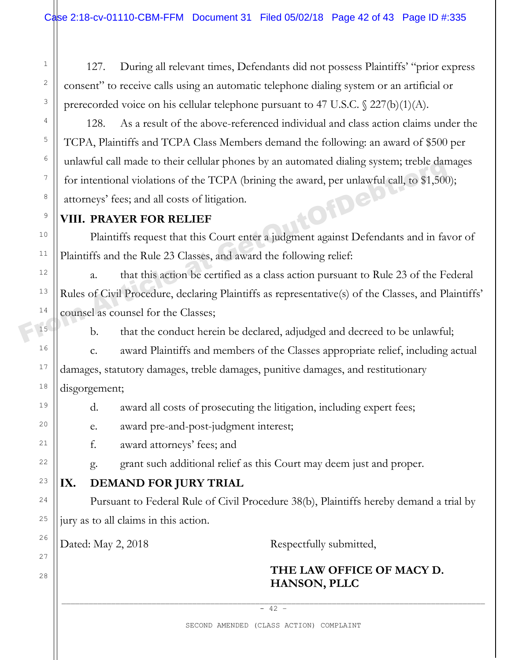127. During all relevant times, Defendants did not possess Plaintiffs' "prior express consent" to receive calls using an automatic telephone dialing system or an artificial or prerecorded voice on his cellular telephone pursuant to 47 U.S.C. § 227(b)(1)(A).

128. As a result of the above-referenced individual and class action claims under the TCPA, Plaintiffs and TCPA Class Members demand the following: an award of \$500 per unlawful call made to their cellular phones by an automated dialing system; treble damages for intentional violations of the TCPA (brining the award, per unlawful call, to \$1,500); attorneys' fees; and all costs of litigation.

### **VIII. PRAYER FOR RELIEF**

1

2

3

4

5

6

7

8

9

10

11

12

13

14

15

16

17

18

19

 $20$ 

21

22

23

24

25

26

27

28

Plaintiffs request that this Court enter a judgment against Defendants and in favor of Plaintiffs and the Rule 23 Classes, and award the following relief:

a. that this action be certified as a class action pursuant to Rule 23 of the Federal Rules of Civil Procedure, declaring Plaintiffs as representative(s) of the Classes, and Plaintiffs' counsel as counsel for the Classes; The minimum can made to their centuar phones by an automated diaing system; treble dance for intentional violations of the TCPA (brining the award, per unlawful call, to \$1,500 attorneys' fees; and all costs of litigation.

b. that the conduct herein be declared, adjudged and decreed to be unlawful;

c. award Plaintiffs and members of the Classes appropriate relief, including actual damages, statutory damages, treble damages, punitive damages, and restitutionary disgorgement;

d. award all costs of prosecuting the litigation, including expert fees;

e. award pre-and-post-judgment interest;

f. award attorneys' fees; and

g. grant such additional relief as this Court may deem just and proper.

# **IX. DEMAND FOR JURY TRIAL**

Pursuant to Federal Rule of Civil Procedure 38(b), Plaintiffs hereby demand a trial by jury as to all claims in this action.

Dated: May 2, 2018 Respectfully submitted,

# **THE LAW OFFICE OF MACY D. HANSON, PLLC**